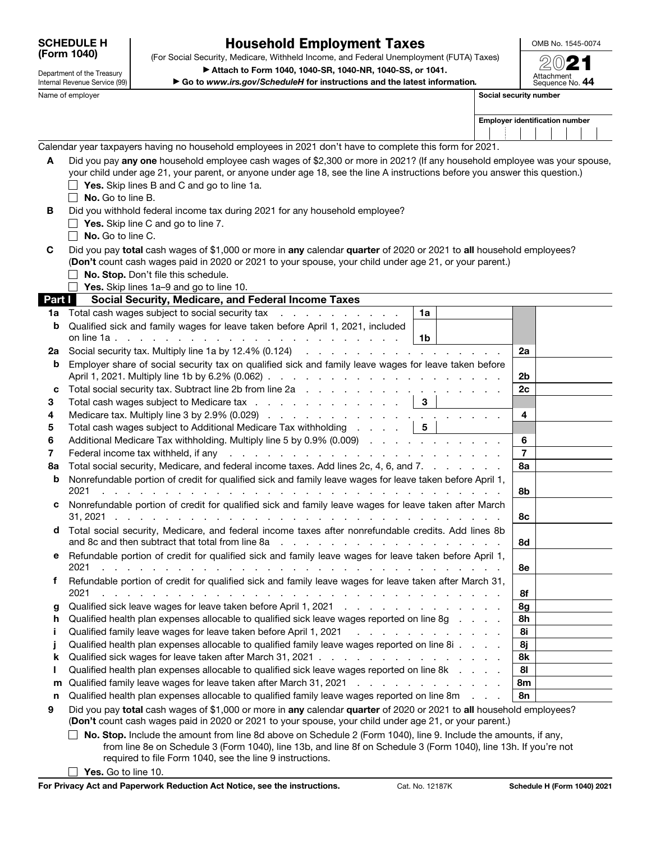| <b>SCHEDULE H</b> |  |
|-------------------|--|
| (Form 1040)       |  |

Department of the Treasury Internal Revenue Service (99)

### Household Employment Taxes

OMB No. 1545-0074

(Form 1040) (For Social Security, Medicare, Withheld Income, and Federal Unemployment (FUTA) Taxes) (2021 ▶ Attach to Form 1040, 1040-SR, 1040-NR, 1040-SS, or 1041.

▶ Go to *www.irs.gov/ScheduleH* for instructions and the latest information*.*

| ) (∩`                         |  |
|-------------------------------|--|
| Attachment<br>Sequence No. 44 |  |

Name of employer **Social security number**  $\blacksquare$  Social security number

| <b>Employer identification number</b> |  |  |
|---------------------------------------|--|--|
|                                       |  |  |

Calendar year taxpayers having no household employees in 2021 don't have to complete this form for 2021.

| A | Did you pay any one household employee cash wages of \$2,300 or more in 2021? (If any household employee was your spouse,   |
|---|-----------------------------------------------------------------------------------------------------------------------------|
|   | your child under age 21, your parent, or anyone under age 18, see the line A instructions before you answer this question.) |
|   | <b>Yes.</b> Skip lines B and C and go to line 1a.                                                                           |
|   | No. Go to line B.                                                                                                           |
| в | Did you withhold federal income tax during 2021 for any household employee?                                                 |
|   | <b>Yes.</b> Skip line C and go to line 7.                                                                                   |
|   | $\blacksquare$ <b>No.</b> Go to line C.                                                                                     |

C Did you pay total cash wages of \$1,000 or more in any calendar quarter of 2020 or 2021 to all household employees? (Don't count cash wages paid in 2020 or 2021 to your spouse, your child under age 21, or your parent.)  $\Box$  No. Stop. Don't file this schedule.

 $\Box$  Yes. Skip lines 1a–9 and go to line 10.

| <b>Part I</b> | Social Security, Medicare, and Federal Income Taxes                                                                                                                                                                                    |                         |
|---------------|----------------------------------------------------------------------------------------------------------------------------------------------------------------------------------------------------------------------------------------|-------------------------|
| 1a            | Total cash wages subject to social security tax<br>1a                                                                                                                                                                                  |                         |
| b             | Qualified sick and family wages for leave taken before April 1, 2021, included                                                                                                                                                         |                         |
|               | 1b                                                                                                                                                                                                                                     |                         |
| 2a            |                                                                                                                                                                                                                                        | 2a                      |
| b             | Employer share of social security tax on qualified sick and family leave wages for leave taken before                                                                                                                                  |                         |
|               |                                                                                                                                                                                                                                        | 2 <sub>b</sub>          |
| C             |                                                                                                                                                                                                                                        | 2c                      |
| 3             | Total cash wages subject to Medicare tax $\ldots$ $\ldots$ $\ldots$ $\ldots$ $\ldots$ $\mid$ 3 $\mid$                                                                                                                                  |                         |
| 4             |                                                                                                                                                                                                                                        | $\overline{\mathbf{4}}$ |
| 5             | Total cash wages subject to Additional Medicare Tax withholding $\ldots$ $\ldots$   5                                                                                                                                                  |                         |
| 6             | Additional Medicare Tax withholding. Multiply line 5 by 0.9% (0.009)                                                                                                                                                                   | 6                       |
| 7             | Federal income tax withheld, if any resolution and resolution and resolution and resolution and resolution and resolution and resolution and resolution and resolution and resolution and resolution and resolution and resolu         | $\overline{7}$          |
| 8a            | Total social security, Medicare, and federal income taxes. Add lines 2c, 4, 6, and 7.                                                                                                                                                  | 8а                      |
| b             | Nonrefundable portion of credit for qualified sick and family leave wages for leave taken before April 1,                                                                                                                              |                         |
|               | 2021<br>in the second contract of the second contract of the second contract of the second contract of the second contract of                                                                                                          | 8b                      |
| C.            | Nonrefundable portion of credit for qualified sick and family leave wages for leave taken after March                                                                                                                                  |                         |
|               |                                                                                                                                                                                                                                        | 8с                      |
| d             | Total social security, Medicare, and federal income taxes after nonrefundable credits. Add lines 8b                                                                                                                                    |                         |
|               |                                                                                                                                                                                                                                        | 8d                      |
| е             | Refundable portion of credit for qualified sick and family leave wages for leave taken before April 1,                                                                                                                                 |                         |
|               | 2021<br>and the company of the company of the company of the company of the company of the company of the company of the company of the company of the company of the company of the company of the company of the company of the comp | 8e                      |
| f             | Refundable portion of credit for qualified sick and family leave wages for leave taken after March 31,                                                                                                                                 |                         |
|               | 2021<br>and the contract of the contract of the contract of the contract of the contract of the contract of the contract of the contract of the contract of the contract of the contract of the contract of the contract of the contra | 8f                      |
| g             |                                                                                                                                                                                                                                        | 8g                      |
| h             | Qualified health plan expenses allocable to qualified sick leave wages reported on line 8g                                                                                                                                             | 8h                      |
|               | Qualified family leave wages for leave taken before April 1, 2021<br>and the contract of the contract of the                                                                                                                           | 8i                      |
|               | Qualified health plan expenses allocable to qualified family leave wages reported on line 8i                                                                                                                                           | 8j                      |
| k             |                                                                                                                                                                                                                                        | 8k                      |
|               | Qualified health plan expenses allocable to qualified sick leave wages reported on line 8k                                                                                                                                             | 81                      |
| m             | Qualified family leave wages for leave taken after March 31, 2021                                                                                                                                                                      | 8m                      |
| n             | Qualified health plan expenses allocable to qualified family leave wages reported on line 8m                                                                                                                                           | 8n                      |
| 9             | Did you pay total cash wages of \$1,000 or more in any calendar quarter of 2020 or 2021 to all household employees?                                                                                                                    |                         |

(Don't count cash wages paid in 2020 or 2021 to your spouse, your child under age 21, or your parent.)

 $\Box$  No. Stop. Include the amount from line 8d above on Schedule 2 (Form 1040), line 9. Include the amounts, if any, from line 8e on Schedule 3 (Form 1040), line 13b, and line 8f on Schedule 3 (Form 1040), line 13h. If you're not required to file Form 1040, see the line 9 instructions.

 $\Box$  Yes. Go to line 10.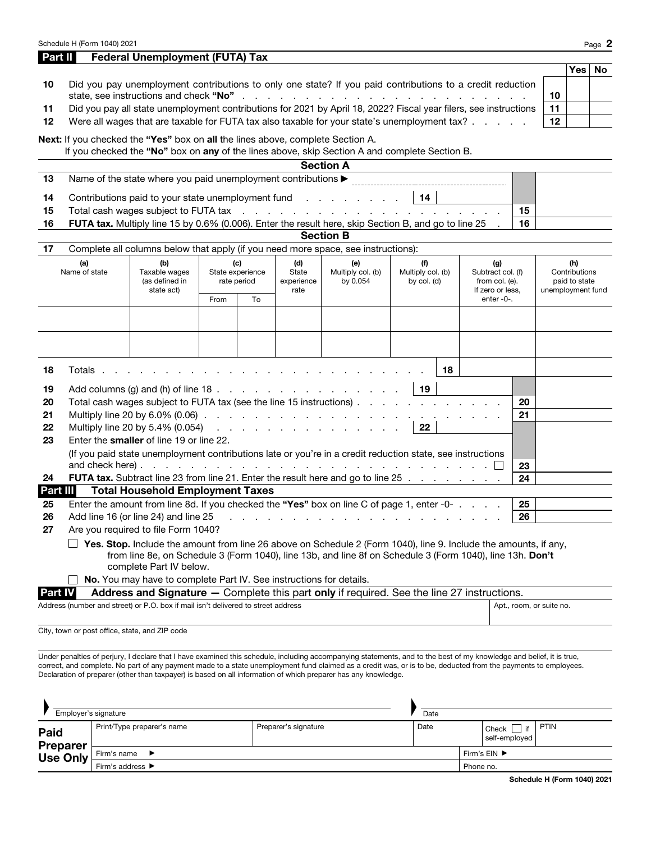|                | Schedule H (Form 1040) 2021                                                                                   |                                                                                                                                                                                                                                |      |                  |                    |                   |                   |    |                                    |          |                   |               | Page 2 |
|----------------|---------------------------------------------------------------------------------------------------------------|--------------------------------------------------------------------------------------------------------------------------------------------------------------------------------------------------------------------------------|------|------------------|--------------------|-------------------|-------------------|----|------------------------------------|----------|-------------------|---------------|--------|
| Part II        |                                                                                                               | <b>Federal Unemployment (FUTA) Tax</b>                                                                                                                                                                                         |      |                  |                    |                   |                   |    |                                    |          |                   |               |        |
|                |                                                                                                               |                                                                                                                                                                                                                                |      |                  |                    |                   |                   |    |                                    |          |                   | <b>Yes</b>    | No     |
| 10             |                                                                                                               | Did you pay unemployment contributions to only one state? If you paid contributions to a credit reduction                                                                                                                      |      |                  |                    |                   |                   |    |                                    |          |                   |               |        |
|                |                                                                                                               |                                                                                                                                                                                                                                |      |                  |                    |                   |                   |    |                                    |          | 10                |               |        |
| 11             |                                                                                                               | Did you pay all state unemployment contributions for 2021 by April 18, 2022? Fiscal year filers, see instructions                                                                                                              |      |                  |                    |                   |                   |    |                                    |          | 11                |               |        |
| 12             |                                                                                                               | Were all wages that are taxable for FUTA tax also taxable for your state's unemployment tax?                                                                                                                                   |      |                  |                    |                   |                   |    |                                    |          | 12                |               |        |
|                |                                                                                                               | Next: If you checked the "Yes" box on all the lines above, complete Section A.                                                                                                                                                 |      |                  |                    |                   |                   |    |                                    |          |                   |               |        |
|                |                                                                                                               | If you checked the "No" box on any of the lines above, skip Section A and complete Section B.                                                                                                                                  |      |                  |                    |                   |                   |    |                                    |          |                   |               |        |
|                |                                                                                                               |                                                                                                                                                                                                                                |      |                  |                    | <b>Section A</b>  |                   |    |                                    |          |                   |               |        |
| 13             |                                                                                                               |                                                                                                                                                                                                                                |      |                  |                    |                   |                   |    |                                    |          |                   |               |        |
| 14             |                                                                                                               | Contributions paid to your state unemployment fund                                                                                                                                                                             |      |                  |                    |                   | 14                |    |                                    |          |                   |               |        |
| 15             |                                                                                                               | Total cash wages subject to FUTA tax reader that is a contracted by the contracted of the contracted by the contracted by the contracted by the contracted by the contracted by the contracted by the contracted by the contra |      |                  |                    |                   |                   |    |                                    | 15       |                   |               |        |
| 16             |                                                                                                               | FUTA tax. Multiply line 15 by 0.6% (0.006). Enter the result here, skip Section B, and go to line 25                                                                                                                           |      |                  |                    |                   |                   |    |                                    | 16       |                   |               |        |
|                |                                                                                                               |                                                                                                                                                                                                                                |      |                  |                    | <b>Section B</b>  |                   |    |                                    |          |                   |               |        |
| 17             |                                                                                                               | Complete all columns below that apply (if you need more space, see instructions):                                                                                                                                              |      |                  |                    |                   |                   |    |                                    |          |                   |               |        |
|                | (a)                                                                                                           | (b)                                                                                                                                                                                                                            |      | (c)              | (d)                | (e)               | (f)               |    | (g)                                |          |                   | (h)           |        |
|                | Name of state                                                                                                 | Taxable wages                                                                                                                                                                                                                  |      | State experience | State              | Multiply col. (b) | Multiply col. (b) |    | Subtract col. (f)                  |          |                   | Contributions |        |
|                |                                                                                                               | (as defined in<br>state act)                                                                                                                                                                                                   |      | rate period      | experience<br>rate | by 0.054          | by col. (d)       |    | from col. (e).<br>If zero or less, |          | unemployment fund | paid to state |        |
|                |                                                                                                               |                                                                                                                                                                                                                                | From | To               |                    |                   |                   |    | enter -0-.                         |          |                   |               |        |
|                |                                                                                                               |                                                                                                                                                                                                                                |      |                  |                    |                   |                   |    |                                    |          |                   |               |        |
|                |                                                                                                               |                                                                                                                                                                                                                                |      |                  |                    |                   |                   |    |                                    |          |                   |               |        |
|                |                                                                                                               |                                                                                                                                                                                                                                |      |                  |                    |                   |                   |    |                                    |          |                   |               |        |
|                |                                                                                                               |                                                                                                                                                                                                                                |      |                  |                    |                   |                   |    |                                    |          |                   |               |        |
| 18             | Totals                                                                                                        |                                                                                                                                                                                                                                |      |                  |                    |                   |                   | 18 |                                    |          |                   |               |        |
|                |                                                                                                               |                                                                                                                                                                                                                                |      |                  |                    |                   |                   |    |                                    |          |                   |               |        |
| 19             |                                                                                                               |                                                                                                                                                                                                                                |      |                  |                    |                   | 19                |    |                                    |          |                   |               |        |
| 20<br>21       |                                                                                                               | Total cash wages subject to FUTA tax (see the line 15 instructions)                                                                                                                                                            |      |                  |                    |                   |                   |    |                                    | 20<br>21 |                   |               |        |
| 22             |                                                                                                               | Multiply line 20 by 5.4% (0.054) $\ldots$ $\ldots$ $\ldots$ $\ldots$ $\ldots$ $\ldots$ $\ldots$                                                                                                                                |      |                  |                    |                   | 22                |    |                                    |          |                   |               |        |
| 23             |                                                                                                               | Enter the smaller of line 19 or line 22.                                                                                                                                                                                       |      |                  |                    |                   |                   |    |                                    |          |                   |               |        |
|                |                                                                                                               | (If you paid state unemployment contributions late or you're in a credit reduction state, see instructions                                                                                                                     |      |                  |                    |                   |                   |    |                                    |          |                   |               |        |
|                |                                                                                                               |                                                                                                                                                                                                                                |      |                  |                    |                   |                   |    |                                    | 23       |                   |               |        |
| 24             |                                                                                                               | FUTA tax. Subtract line 23 from line 21. Enter the result here and go to line 25                                                                                                                                               |      |                  |                    |                   |                   |    |                                    | 24       |                   |               |        |
| Part III       |                                                                                                               | <b>Total Household Employment Taxes</b>                                                                                                                                                                                        |      |                  |                    |                   |                   |    |                                    |          |                   |               |        |
| 25             |                                                                                                               | Enter the amount from line 8d. If you checked the "Yes" box on line C of page 1, enter -0-                                                                                                                                     |      |                  |                    |                   |                   |    |                                    | 25       |                   |               |        |
| 26             |                                                                                                               | Add line 16 (or line 24) and line 25                                                                                                                                                                                           |      |                  |                    |                   |                   |    |                                    | 26       |                   |               |        |
| 27             | Are you required to file Form 1040?                                                                           |                                                                                                                                                                                                                                |      |                  |                    |                   |                   |    |                                    |          |                   |               |        |
|                |                                                                                                               | Yes. Stop. Include the amount from line 26 above on Schedule 2 (Form 1040), line 9. Include the amounts, if any,                                                                                                               |      |                  |                    |                   |                   |    |                                    |          |                   |               |        |
|                |                                                                                                               | from line 8e, on Schedule 3 (Form 1040), line 13b, and line 8f on Schedule 3 (Form 1040), line 13h. Don't                                                                                                                      |      |                  |                    |                   |                   |    |                                    |          |                   |               |        |
|                |                                                                                                               | complete Part IV below.                                                                                                                                                                                                        |      |                  |                    |                   |                   |    |                                    |          |                   |               |        |
|                |                                                                                                               | No. You may have to complete Part IV. See instructions for details.                                                                                                                                                            |      |                  |                    |                   |                   |    |                                    |          |                   |               |        |
| <b>Part IV</b> |                                                                                                               | Address and Signature - Complete this part only if required. See the line 27 instructions.                                                                                                                                     |      |                  |                    |                   |                   |    |                                    |          |                   |               |        |
|                | Address (number and street) or P.O. box if mail isn't delivered to street address<br>Apt., room, or suite no. |                                                                                                                                                                                                                                |      |                  |                    |                   |                   |    |                                    |          |                   |               |        |
|                | City, town or post office, state, and ZIP code                                                                |                                                                                                                                                                                                                                |      |                  |                    |                   |                   |    |                                    |          |                   |               |        |
|                |                                                                                                               |                                                                                                                                                                                                                                |      |                  |                    |                   |                   |    |                                    |          |                   |               |        |
|                |                                                                                                               |                                                                                                                                                                                                                                |      |                  |                    |                   |                   |    |                                    |          |                   |               |        |

Under penalties of perjury, I declare that I have examined this schedule, including accompanying statements, and to the best of my knowledge and belief, it is true, correct, and complete. No part of any payment made to a state unemployment fund claimed as a credit was, or is to be, deducted from the payments to employees. Declaration of preparer (other than taxpayer) is based on all information of which preparer has any knowledge.

| Employer's signature         |                                      |                      | Date |                                    |                              |      |
|------------------------------|--------------------------------------|----------------------|------|------------------------------------|------------------------------|------|
| Paid                         | Print/Type preparer's name           | Preparer's signature | Date |                                    | if<br>Check<br>self-employed | PTIN |
| <b>Preparer<br/>Use Only</b> | Firm's name $\blacktriangleright$    |                      |      | Firm's $EIN$ $\blacktriangleright$ |                              |      |
|                              | Firm's address $\blacktriangleright$ |                      |      | Phone no.                          |                              |      |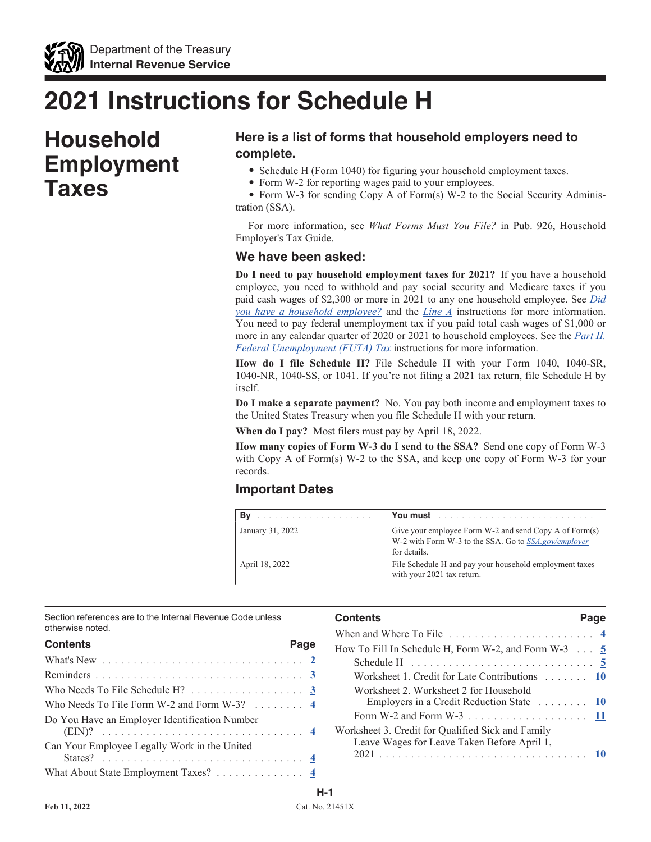

# **2021 Instructions for Schedule H**

# **Household Employment Taxes**

### **Here is a list of forms that household employers need to complete.**

- Schedule H (Form 1040) for figuring your household employment taxes.
- Form W-2 for reporting wages paid to your employees.

• Form W-3 for sending Copy A of Form(s) W-2 to the Social Security Administration (SSA).

For more information, see *What Forms Must You File?* in Pub. 926, Household Employer's Tax Guide.

### **We have been asked:**

**Do I need to pay household employment taxes for 2021?** If you have a household employee, you need to withhold and pay social security and Medicare taxes if you paid cash wages of \$2,300 or more in 2021 to any one household employee. See *Did you have a household employee?* and the *Line A* instructions for more information. You need to pay federal unemployment tax if you paid total cash wages of \$1,000 or more in any calendar quarter of 2020 or 2021 to household employees. See the *Part II. Federal Unemployment (FUTA) Tax* instructions for more information.

**How do I file Schedule H?** File Schedule H with your Form 1040, 1040-SR, 1040-NR, 1040-SS, or 1041. If you're not filing a 2021 tax return, file Schedule H by itself.

**Do I make a separate payment?** No. You pay both income and employment taxes to the United States Treasury when you file Schedule H with your return.

**When do I pay?** Most filers must pay by April 18, 2022.

**How many copies of Form W-3 do I send to the SSA?** Send one copy of Form W-3 with Copy A of Form(s) W-2 to the SSA, and keep one copy of Form W-3 for your records.

### **Important Dates**

| Bv<br>a dia ana ana ana ana ana ana ana ana ana | You must <b>contain the contract of the contract of the contract of the contract of the contract of the contract of the contract of the contract of the contract of the contract of the contract of the contract of the contract</b> |
|-------------------------------------------------|--------------------------------------------------------------------------------------------------------------------------------------------------------------------------------------------------------------------------------------|
| January 31, 2022                                | Give your employee Form W-2 and send Copy A of Form(s)<br>W-2 with Form W-3 to the SSA. Go to SSA.gov/employer<br>for details.                                                                                                       |
| April 18, 2022                                  | File Schedule H and pay your household employment taxes<br>with your 2021 tax return.                                                                                                                                                |

Section references are to the Internal Revenue Code unless otherwise noted.

| <b>Contents</b>                                                      | Page |  |
|----------------------------------------------------------------------|------|--|
|                                                                      |      |  |
|                                                                      |      |  |
| Who Needs To File Schedule $H$ ? 3                                   |      |  |
| Who Needs To File Form W-2 and Form W-3? $\dots \dots$ $\frac{4}{5}$ |      |  |
| Do You Have an Employer Identification Number                        |      |  |
| Can Your Employee Legally Work in the United                         |      |  |
|                                                                      |      |  |
| What About State Employment Taxes? 4                                 |      |  |

| When and Where To File $\dots \dots \dots \dots \dots \dots \dots \dots$<br>How To Fill In Schedule H, Form W-2, and Form W-3 $\ldots$ 5<br>Schedule H $\ldots \ldots \ldots \ldots \ldots \ldots \ldots \ldots \ldots 5$<br>Worksheet 1. Credit for Late Contributions 10<br>Worksheet 2. Worksheet 2 for Household<br>Employers in a Credit Reduction State 10<br>Worksheet 3. Credit for Qualified Sick and Family<br>Leave Wages for Leave Taken Before April 1, | <b>Contents</b> | Page |
|----------------------------------------------------------------------------------------------------------------------------------------------------------------------------------------------------------------------------------------------------------------------------------------------------------------------------------------------------------------------------------------------------------------------------------------------------------------------|-----------------|------|
|                                                                                                                                                                                                                                                                                                                                                                                                                                                                      |                 |      |
|                                                                                                                                                                                                                                                                                                                                                                                                                                                                      |                 |      |
|                                                                                                                                                                                                                                                                                                                                                                                                                                                                      |                 |      |
|                                                                                                                                                                                                                                                                                                                                                                                                                                                                      |                 |      |
|                                                                                                                                                                                                                                                                                                                                                                                                                                                                      |                 |      |
|                                                                                                                                                                                                                                                                                                                                                                                                                                                                      |                 |      |
|                                                                                                                                                                                                                                                                                                                                                                                                                                                                      |                 |      |
|                                                                                                                                                                                                                                                                                                                                                                                                                                                                      |                 |      |
|                                                                                                                                                                                                                                                                                                                                                                                                                                                                      |                 |      |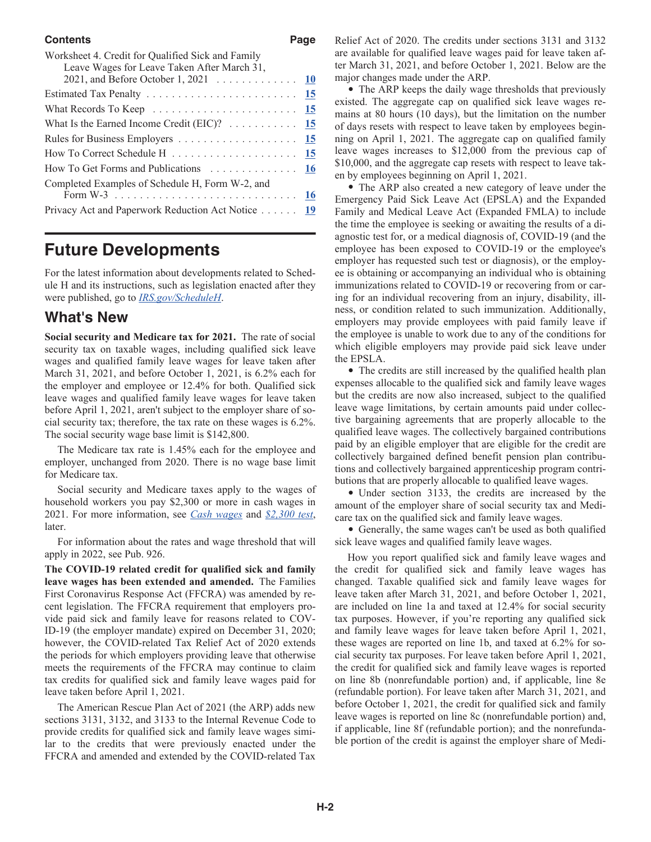#### **Contents** Page

| Worksheet 4. Credit for Qualified Sick and Family<br>Leave Wages for Leave Taken After March 31, |  |
|--------------------------------------------------------------------------------------------------|--|
| 2021, and Before October 1, 2021 10                                                              |  |
|                                                                                                  |  |
|                                                                                                  |  |
| What Is the Earned Income Credit (EIC)? $\ldots \ldots \ldots \ldots$ 15                         |  |
|                                                                                                  |  |
|                                                                                                  |  |
|                                                                                                  |  |
| Completed Examples of Schedule H, Form W-2, and                                                  |  |
|                                                                                                  |  |
| Privacy Act and Paperwork Reduction Act Notice 19                                                |  |
|                                                                                                  |  |

# **Future Developments**

For the latest information about developments related to Schedule H and its instructions, such as legislation enacted after they were published, go to *[IRS.gov/ScheduleH](https://www.irs.gov/scheduleh)*.

### **What's New**

**Social security and Medicare tax for 2021.** The rate of social security tax on taxable wages, including qualified sick leave wages and qualified family leave wages for leave taken after March 31, 2021, and before October 1, 2021, is 6.2% each for the employer and employee or 12.4% for both. Qualified sick leave wages and qualified family leave wages for leave taken before April 1, 2021, aren't subject to the employer share of social security tax; therefore, the tax rate on these wages is 6.2%. The social security wage base limit is \$142,800.

The Medicare tax rate is 1.45% each for the employee and employer, unchanged from 2020. There is no wage base limit for Medicare tax.

Social security and Medicare taxes apply to the wages of household workers you pay \$2,300 or more in cash wages in 2021. For more information, see *Cash wages* and *\$2,300 test*, later.

For information about the rates and wage threshold that will apply in 2022, see Pub. 926.

**The COVID-19 related credit for qualified sick and family leave wages has been extended and amended.** The Families First Coronavirus Response Act (FFCRA) was amended by recent legislation. The FFCRA requirement that employers provide paid sick and family leave for reasons related to COV-ID-19 (the employer mandate) expired on December 31, 2020; however, the COVID-related Tax Relief Act of 2020 extends the periods for which employers providing leave that otherwise meets the requirements of the FFCRA may continue to claim tax credits for qualified sick and family leave wages paid for leave taken before April 1, 2021.

The American Rescue Plan Act of 2021 (the ARP) adds new sections 3131, 3132, and 3133 to the Internal Revenue Code to provide credits for qualified sick and family leave wages similar to the credits that were previously enacted under the FFCRA and amended and extended by the COVID-related Tax Relief Act of 2020. The credits under sections 3131 and 3132 are available for qualified leave wages paid for leave taken after March 31, 2021, and before October 1, 2021. Below are the major changes made under the ARP.

• The ARP keeps the daily wage thresholds that previously existed. The aggregate cap on qualified sick leave wages remains at 80 hours (10 days), but the limitation on the number of days resets with respect to leave taken by employees beginning on April 1, 2021. The aggregate cap on qualified family leave wages increases to \$12,000 from the previous cap of \$10,000, and the aggregate cap resets with respect to leave taken by employees beginning on April 1, 2021.

• The ARP also created a new category of leave under the Emergency Paid Sick Leave Act (EPSLA) and the Expanded Family and Medical Leave Act (Expanded FMLA) to include the time the employee is seeking or awaiting the results of a diagnostic test for, or a medical diagnosis of, COVID-19 (and the employee has been exposed to COVID-19 or the employee's employer has requested such test or diagnosis), or the employee is obtaining or accompanying an individual who is obtaining immunizations related to COVID-19 or recovering from or caring for an individual recovering from an injury, disability, illness, or condition related to such immunization. Additionally, employers may provide employees with paid family leave if the employee is unable to work due to any of the conditions for which eligible employers may provide paid sick leave under the EPSLA.

• The credits are still increased by the qualified health plan expenses allocable to the qualified sick and family leave wages but the credits are now also increased, subject to the qualified leave wage limitations, by certain amounts paid under collective bargaining agreements that are properly allocable to the qualified leave wages. The collectively bargained contributions paid by an eligible employer that are eligible for the credit are collectively bargained defined benefit pension plan contributions and collectively bargained apprenticeship program contributions that are properly allocable to qualified leave wages.

• Under section 3133, the credits are increased by the amount of the employer share of social security tax and Medicare tax on the qualified sick and family leave wages.

• Generally, the same wages can't be used as both qualified sick leave wages and qualified family leave wages.

How you report qualified sick and family leave wages and the credit for qualified sick and family leave wages has changed. Taxable qualified sick and family leave wages for leave taken after March 31, 2021, and before October 1, 2021, are included on line 1a and taxed at 12.4% for social security tax purposes. However, if you're reporting any qualified sick and family leave wages for leave taken before April 1, 2021, these wages are reported on line 1b, and taxed at 6.2% for social security tax purposes. For leave taken before April 1, 2021, the credit for qualified sick and family leave wages is reported on line 8b (nonrefundable portion) and, if applicable, line 8e (refundable portion). For leave taken after March 31, 2021, and before October 1, 2021, the credit for qualified sick and family leave wages is reported on line 8c (nonrefundable portion) and, if applicable, line 8f (refundable portion); and the nonrefundable portion of the credit is against the employer share of Medi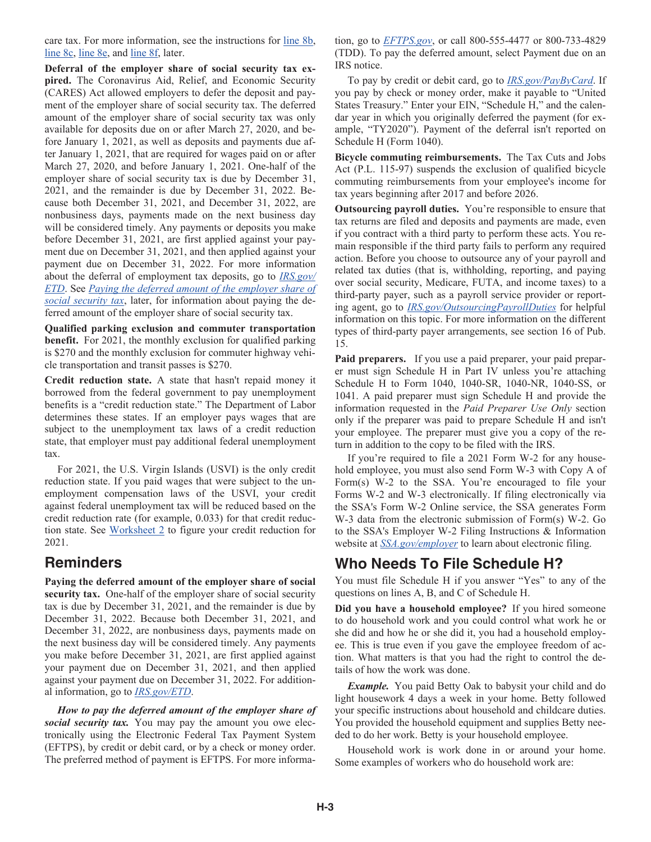care tax. For more information, see the instructions for line 8b, line 8c, line 8e, and line 8f, later.

**Deferral of the employer share of social security tax expired.** The Coronavirus Aid, Relief, and Economic Security (CARES) Act allowed employers to defer the deposit and payment of the employer share of social security tax. The deferred amount of the employer share of social security tax was only available for deposits due on or after March 27, 2020, and before January 1, 2021, as well as deposits and payments due after January 1, 2021, that are required for wages paid on or after March 27, 2020, and before January 1, 2021. One-half of the employer share of social security tax is due by December 31, 2021, and the remainder is due by December 31, 2022. Because both December 31, 2021, and December 31, 2022, are nonbusiness days, payments made on the next business day will be considered timely. Any payments or deposits you make before December 31, 2021, are first applied against your payment due on December 31, 2021, and then applied against your payment due on December 31, 2022. For more information about the deferral of employment tax deposits, go to *[IRS.gov/](https://www.irs.gov/etd) [ETD](https://www.irs.gov/etd)*. See *Paying the deferred amount of the employer share of social security tax*, later, for information about paying the deferred amount of the employer share of social security tax.

**Qualified parking exclusion and commuter transportation benefit.** For 2021, the monthly exclusion for qualified parking is \$270 and the monthly exclusion for commuter highway vehicle transportation and transit passes is \$270.

**Credit reduction state.** A state that hasn't repaid money it borrowed from the federal government to pay unemployment benefits is a "credit reduction state." The Department of Labor determines these states. If an employer pays wages that are subject to the unemployment tax laws of a credit reduction state, that employer must pay additional federal unemployment tax.

For 2021, the U.S. Virgin Islands (USVI) is the only credit reduction state. If you paid wages that were subject to the unemployment compensation laws of the USVI, your credit against federal unemployment tax will be reduced based on the credit reduction rate (for example, 0.033) for that credit reduction state. See Worksheet 2 to figure your credit reduction for 2021.

### **Reminders**

**Paying the deferred amount of the employer share of social security tax.** One-half of the employer share of social security tax is due by December 31, 2021, and the remainder is due by December 31, 2022. Because both December 31, 2021, and December 31, 2022, are nonbusiness days, payments made on the next business day will be considered timely. Any payments you make before December 31, 2021, are first applied against your payment due on December 31, 2021, and then applied against your payment due on December 31, 2022. For additional information, go to *[IRS.gov/ETD](https://www.irs.gov/etd)*.

*How to pay the deferred amount of the employer share of social security tax.* You may pay the amount you owe electronically using the Electronic Federal Tax Payment System (EFTPS), by credit or debit card, or by a check or money order. The preferred method of payment is EFTPS. For more information, go to *[EFTPS.gov](https://www.eftps.gov/eftps/)*, or call 800-555-4477 or 800-733-4829 (TDD). To pay the deferred amount, select Payment due on an IRS notice.

To pay by credit or debit card, go to *[IRS.gov/PayByCard](https://www.IRS.gov/PayByCard)*. If you pay by check or money order, make it payable to "United States Treasury." Enter your EIN, "Schedule H," and the calendar year in which you originally deferred the payment (for example, "TY2020"). Payment of the deferral isn't reported on Schedule H (Form 1040).

**Bicycle commuting reimbursements.** The Tax Cuts and Jobs Act (P.L. 115-97) suspends the exclusion of qualified bicycle commuting reimbursements from your employee's income for tax years beginning after 2017 and before 2026.

**Outsourcing payroll duties.** You're responsible to ensure that tax returns are filed and deposits and payments are made, even if you contract with a third party to perform these acts. You remain responsible if the third party fails to perform any required action. Before you choose to outsource any of your payroll and related tax duties (that is, withholding, reporting, and paying over social security, Medicare, FUTA, and income taxes) to a third-party payer, such as a payroll service provider or reporting agent, go to *[IRS.gov/OutsourcingPayrollDuties](https://www.irs.gov/outsourcingpayrollduties)* for helpful information on this topic. For more information on the different types of third-party payer arrangements, see section 16 of Pub. 15.

**Paid preparers.** If you use a paid preparer, your paid preparer must sign Schedule H in Part IV unless you're attaching Schedule H to Form 1040, 1040-SR, 1040-NR, 1040-SS, or 1041. A paid preparer must sign Schedule H and provide the information requested in the *Paid Preparer Use Only* section only if the preparer was paid to prepare Schedule H and isn't your employee. The preparer must give you a copy of the return in addition to the copy to be filed with the IRS.

If you're required to file a 2021 Form W-2 for any household employee, you must also send Form W-3 with Copy A of Form(s) W-2 to the SSA. You're encouraged to file your Forms W-2 and W-3 electronically. If filing electronically via the SSA's Form W-2 Online service, the SSA generates Form W-3 data from the electronic submission of Form(s) W-2. Go to the SSA's Employer W-2 Filing Instructions & Information website at *[SSA.gov/employer](https://www.ssa.gov/employer)* to learn about electronic filing.

### **Who Needs To File Schedule H?**

You must file Schedule H if you answer "Yes" to any of the questions on lines A, B, and C of Schedule H.

**Did you have a household employee?** If you hired someone to do household work and you could control what work he or she did and how he or she did it, you had a household employee. This is true even if you gave the employee freedom of action. What matters is that you had the right to control the details of how the work was done.

*Example.* You paid Betty Oak to babysit your child and do light housework 4 days a week in your home. Betty followed your specific instructions about household and childcare duties. You provided the household equipment and supplies Betty needed to do her work. Betty is your household employee.

Household work is work done in or around your home. Some examples of workers who do household work are: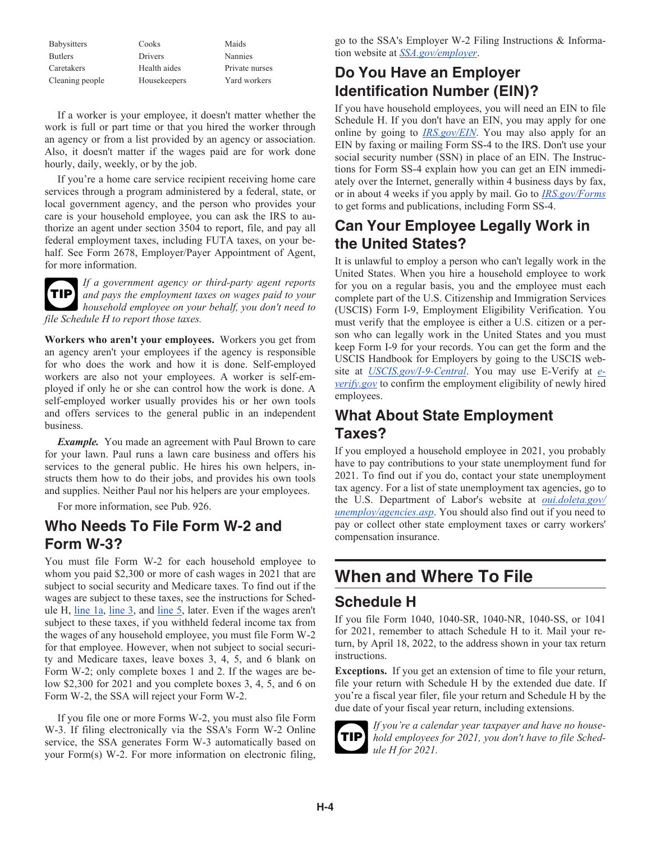| <b>Babysitters</b> | Cooks        | Maids          |
|--------------------|--------------|----------------|
| <b>Butlers</b>     | Drivers      | Nannies        |
| Caretakers         | Health aides | Private nurses |
| Cleaning people    | Housekeepers | Yard workers   |

If a worker is your employee, it doesn't matter whether the work is full or part time or that you hired the worker through an agency or from a list provided by an agency or association. Also, it doesn't matter if the wages paid are for work done hourly, daily, weekly, or by the job.

If you're a home care service recipient receiving home care services through a program administered by a federal, state, or local government agency, and the person who provides your care is your household employee, you can ask the IRS to authorize an agent under section 3504 to report, file, and pay all federal employment taxes, including FUTA taxes, on your behalf. See Form 2678, Employer/Payer Appointment of Agent, for more information.



*If a government agency or third-party agent reports and pays the employment taxes on wages paid to your*  **TIP** *household employee on your behalf, you don't need to file Schedule H to report those taxes.*

**Workers who aren't your employees.** Workers you get from an agency aren't your employees if the agency is responsible for who does the work and how it is done. Self-employed workers are also not your employees. A worker is self-employed if only he or she can control how the work is done. A self-employed worker usually provides his or her own tools and offers services to the general public in an independent business.

*Example.* You made an agreement with Paul Brown to care for your lawn. Paul runs a lawn care business and offers his services to the general public. He hires his own helpers, instructs them how to do their jobs, and provides his own tools and supplies. Neither Paul nor his helpers are your employees.

For more information, see Pub. 926.

### **Who Needs To File Form W-2 and Form W-3?**

You must file Form W-2 for each household employee to whom you paid \$2,300 or more of cash wages in 2021 that are subject to social security and Medicare taxes. To find out if the wages are subject to these taxes, see the instructions for Schedule H, line 1a, line 3, and line 5, later. Even if the wages aren't subject to these taxes, if you withheld federal income tax from the wages of any household employee, you must file Form W-2 for that employee. However, when not subject to social security and Medicare taxes, leave boxes 3, 4, 5, and 6 blank on Form W-2; only complete boxes 1 and 2. If the wages are below \$2,300 for 2021 and you complete boxes 3, 4, 5, and 6 on Form W-2, the SSA will reject your Form W-2.

If you file one or more Forms W-2, you must also file Form W-3. If filing electronically via the SSA's Form W-2 Online service, the SSA generates Form W-3 automatically based on your Form(s) W-2. For more information on electronic filing,

go to the SSA's Employer W-2 Filing Instructions & Information website at *[SSA.gov/employer](https://www.ssa.gov/employer)*.

# **Do You Have an Employer Identification Number (EIN)?**

If you have household employees, you will need an EIN to file Schedule H. If you don't have an EIN, you may apply for one online by going to *[IRS.gov/EIN](https://www.irs.gov/ein)*. You may also apply for an EIN by faxing or mailing Form SS-4 to the IRS. Don't use your social security number (SSN) in place of an EIN. The Instructions for Form SS-4 explain how you can get an EIN immediately over the Internet, generally within 4 business days by fax, or in about 4 weeks if you apply by mail. Go to *[IRS.gov/Forms](https://www.irs.gov/forms)*  to get forms and publications, including Form SS-4.

# **Can Your Employee Legally Work in the United States?**

It is unlawful to employ a person who can't legally work in the United States. When you hire a household employee to work for you on a regular basis, you and the employee must each complete part of the U.S. Citizenship and Immigration Services (USCIS) Form I-9, Employment Eligibility Verification. You must verify that the employee is either a U.S. citizen or a person who can legally work in the United States and you must keep Form I-9 for your records. You can get the form and the USCIS Handbook for Employers by going to the USCIS website at *[USCIS.gov/I-9-Central](https://www.uscis.gov/i-9-central)*. You may use E-Verify at *[e](https://www.e-verify.gov)[verify.gov](https://www.e-verify.gov)* to confirm the employment eligibility of newly hired employees.

# **What About State Employment Taxes?**

If you employed a household employee in 2021, you probably have to pay contributions to your state unemployment fund for 2021. To find out if you do, contact your state unemployment tax agency. For a list of state unemployment tax agencies, go to the U.S. Department of Labor's website at *[oui.doleta.gov/](https://oui.doleta.gov/unemploy/agencies.asp) [unemploy/agencies.asp](https://oui.doleta.gov/unemploy/agencies.asp)*. You should also find out if you need to pay or collect other state employment taxes or carry workers' compensation insurance.

# **When and Where To File**

### **Schedule H**

If you file Form 1040, 1040-SR, 1040-NR, 1040-SS, or 1041 for 2021, remember to attach Schedule H to it. Mail your return, by April 18, 2022, to the address shown in your tax return instructions.

**Exceptions.** If you get an extension of time to file your return, file your return with Schedule H by the extended due date. If you're a fiscal year filer, file your return and Schedule H by the due date of your fiscal year return, including extensions.



*If you're a calendar year taxpayer and have no household employees for 2021, you don't have to file Schedule H for 2021.*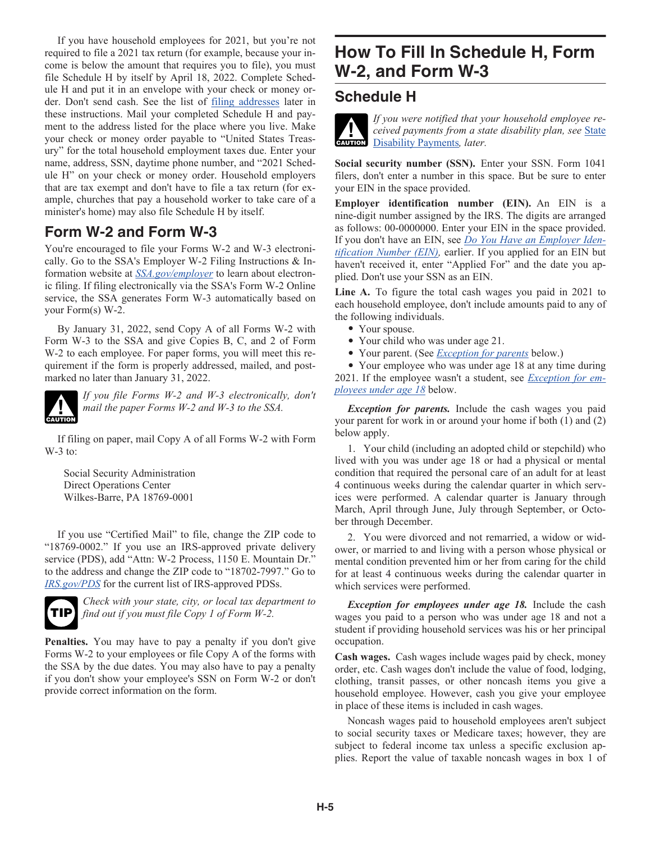If you have household employees for 2021, but you're not required to file a 2021 tax return (for example, because your income is below the amount that requires you to file), you must file Schedule H by itself by April 18, 2022. Complete Schedule H and put it in an envelope with your check or money order. Don't send cash. See the list of filing addresses later in these instructions. Mail your completed Schedule H and payment to the address listed for the place where you live. Make your check or money order payable to "United States Treasury" for the total household employment taxes due. Enter your name, address, SSN, daytime phone number, and "2021 Schedule H" on your check or money order. Household employers that are tax exempt and don't have to file a tax return (for example, churches that pay a household worker to take care of a minister's home) may also file Schedule H by itself.

### **Form W-2 and Form W-3**

You're encouraged to file your Forms W-2 and W-3 electronically. Go to the SSA's Employer W-2 Filing Instructions & Information website at *[SSA.gov/employer](https://www.ssa.gov/employer)* to learn about electronic filing. If filing electronically via the SSA's Form W-2 Online service, the SSA generates Form W-3 automatically based on your Form(s) W-2.

By January 31, 2022, send Copy A of all Forms W-2 with Form W-3 to the SSA and give Copies B, C, and 2 of Form W-2 to each employee. For paper forms, you will meet this requirement if the form is properly addressed, mailed, and postmarked no later than January 31, 2022.



*If you file Forms W-2 and W-3 electronically, don't mail the paper Forms W-2 and W-3 to the SSA.*

If filing on paper, mail Copy A of all Forms W-2 with Form W-3 to:

Social Security Administration Direct Operations Center Wilkes-Barre, PA 18769-0001

If you use "Certified Mail" to file, change the ZIP code to "18769-0002." If you use an IRS-approved private delivery service (PDS), add "Attn: W-2 Process, 1150 E. Mountain Dr." to the address and change the ZIP code to "18702-7997." Go to *[IRS.gov/PDS](https://www.irs.gov/pds)* for the current list of IRS-approved PDSs.



*Check with your state, city, or local tax department to find out if you must file Copy 1 of Form W-2.*

**Penalties.** You may have to pay a penalty if you don't give Forms W-2 to your employees or file Copy A of the forms with the SSA by the due dates. You may also have to pay a penalty if you don't show your employee's SSN on Form W-2 or don't provide correct information on the form.

# **How To Fill In Schedule H, Form W-2, and Form W-3**

### **Schedule H**

*If you were notified that your household employee received payments from a state disability plan, see* State **CELLET CONSERVERS**<br> **CAUTION** Disability Payments, later.

**Social security number (SSN).** Enter your SSN. Form 1041 filers, don't enter a number in this space. But be sure to enter your EIN in the space provided.

**Employer identification number (EIN).** An EIN is a nine-digit number assigned by the IRS. The digits are arranged as follows: 00-0000000. Enter your EIN in the space provided. If you don't have an EIN, see *Do You Have an Employer Identification Number (EIN),* earlier. If you applied for an EIN but haven't received it, enter "Applied For" and the date you applied. Don't use your SSN as an EIN.

**Line A.** To figure the total cash wages you paid in 2021 to each household employee, don't include amounts paid to any of the following individuals.

- Your spouse.
- Your child who was under age 21.
- Your parent. (See *Exception for parents* below.)

• Your employee who was under age 18 at any time during 2021. If the employee wasn't a student, see *Exception for employees under age 18* below.

*Exception for parents.* Include the cash wages you paid your parent for work in or around your home if both (1) and (2) below apply.

1. Your child (including an adopted child or stepchild) who lived with you was under age 18 or had a physical or mental condition that required the personal care of an adult for at least 4 continuous weeks during the calendar quarter in which services were performed. A calendar quarter is January through March, April through June, July through September, or October through December.

2. You were divorced and not remarried, a widow or widower, or married to and living with a person whose physical or mental condition prevented him or her from caring for the child for at least 4 continuous weeks during the calendar quarter in which services were performed.

*Exception for employees under age 18.* Include the cash wages you paid to a person who was under age 18 and not a student if providing household services was his or her principal occupation.

**Cash wages.** Cash wages include wages paid by check, money order, etc. Cash wages don't include the value of food, lodging, clothing, transit passes, or other noncash items you give a household employee. However, cash you give your employee in place of these items is included in cash wages.

Noncash wages paid to household employees aren't subject to social security taxes or Medicare taxes; however, they are subject to federal income tax unless a specific exclusion applies. Report the value of taxable noncash wages in box 1 of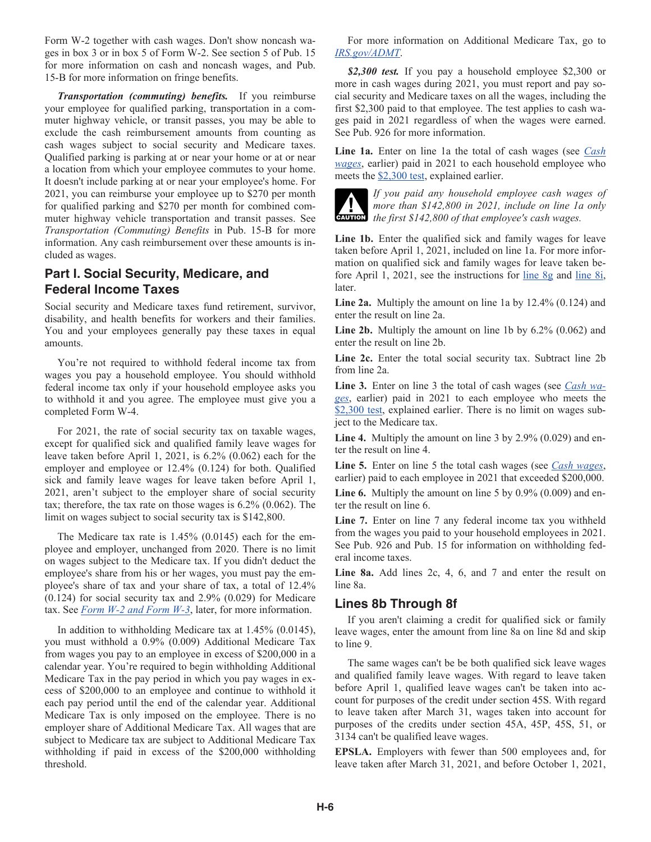Form W-2 together with cash wages. Don't show noncash wages in box 3 or in box 5 of Form W-2. See section 5 of Pub. 15 for more information on cash and noncash wages, and Pub. 15-B for more information on fringe benefits.

*Transportation (commuting) benefits.* If you reimburse your employee for qualified parking, transportation in a commuter highway vehicle, or transit passes, you may be able to exclude the cash reimbursement amounts from counting as cash wages subject to social security and Medicare taxes. Qualified parking is parking at or near your home or at or near a location from which your employee commutes to your home. It doesn't include parking at or near your employee's home. For 2021, you can reimburse your employee up to \$270 per month for qualified parking and \$270 per month for combined commuter highway vehicle transportation and transit passes. See *Transportation (Commuting) Benefits* in Pub. 15-B for more information. Any cash reimbursement over these amounts is included as wages.

### **Part I. Social Security, Medicare, and Federal Income Taxes**

Social security and Medicare taxes fund retirement, survivor, disability, and health benefits for workers and their families. You and your employees generally pay these taxes in equal amounts.

You're not required to withhold federal income tax from wages you pay a household employee. You should withhold federal income tax only if your household employee asks you to withhold it and you agree. The employee must give you a completed Form W-4.

For 2021, the rate of social security tax on taxable wages, except for qualified sick and qualified family leave wages for leave taken before April 1, 2021, is 6.2% (0.062) each for the employer and employee or 12.4% (0.124) for both. Qualified sick and family leave wages for leave taken before April 1, 2021, aren't subject to the employer share of social security tax; therefore, the tax rate on those wages is 6.2% (0.062). The limit on wages subject to social security tax is \$142,800.

The Medicare tax rate is 1.45% (0.0145) each for the employee and employer, unchanged from 2020. There is no limit on wages subject to the Medicare tax. If you didn't deduct the employee's share from his or her wages, you must pay the employee's share of tax and your share of tax, a total of 12.4% (0.124) for social security tax and 2.9% (0.029) for Medicare tax. See *Form W-2 and Form W-3*, later, for more information.

In addition to withholding Medicare tax at 1.45% (0.0145), you must withhold a 0.9% (0.009) Additional Medicare Tax from wages you pay to an employee in excess of \$200,000 in a calendar year. You're required to begin withholding Additional Medicare Tax in the pay period in which you pay wages in excess of \$200,000 to an employee and continue to withhold it each pay period until the end of the calendar year. Additional Medicare Tax is only imposed on the employee. There is no employer share of Additional Medicare Tax. All wages that are subject to Medicare tax are subject to Additional Medicare Tax withholding if paid in excess of the \$200,000 withholding threshold.

For more information on Additional Medicare Tax, go to *[IRS.gov/ADMT](https://www.irs.gov/admt)*.

*\$2,300 test.* If you pay a household employee \$2,300 or more in cash wages during 2021, you must report and pay social security and Medicare taxes on all the wages, including the first \$2,300 paid to that employee. The test applies to cash wages paid in 2021 regardless of when the wages were earned. See Pub. 926 for more information.

**Line 1a.** Enter on line 1a the total of cash wages (see *Cash wages*, earlier) paid in 2021 to each household employee who meets the \$2,300 test, explained earlier.



*If you paid any household employee cash wages of more than \$142,800 in 2021, include on line 1a only*  **caution** *the first \$142,800 of that employee's cash wages.* 

Line 1b. Enter the qualified sick and family wages for leave taken before April 1, 2021, included on line 1a. For more information on qualified sick and family wages for leave taken before April 1, 2021, see the instructions for line 8g and line 8i, later.

**Line 2a.** Multiply the amount on line 1a by 12.4% (0.124) and enter the result on line 2a.

**Line 2b.** Multiply the amount on line 1b by 6.2% (0.062) and enter the result on line 2b.

**Line 2c.** Enter the total social security tax. Subtract line 2b from line 2a.

**Line 3.** Enter on line 3 the total of cash wages (see *Cash wages*, earlier) paid in 2021 to each employee who meets the \$2,300 test, explained earlier. There is no limit on wages subject to the Medicare tax.

Line 4. Multiply the amount on line 3 by 2.9% (0.029) and enter the result on line 4.

**Line 5.** Enter on line 5 the total cash wages (see *Cash wages*, earlier) paid to each employee in 2021 that exceeded \$200,000.

Line 6. Multiply the amount on line 5 by 0.9% (0.009) and enter the result on line 6.

**Line 7.** Enter on line 7 any federal income tax you withheld from the wages you paid to your household employees in 2021. See Pub. 926 and Pub. 15 for information on withholding federal income taxes.

**Line 8a.** Add lines 2c, 4, 6, and 7 and enter the result on line 8a.

### **Lines 8b Through 8f**

If you aren't claiming a credit for qualified sick or family leave wages, enter the amount from line 8a on line 8d and skip to line 9.

The same wages can't be be both qualified sick leave wages and qualified family leave wages. With regard to leave taken before April 1, qualified leave wages can't be taken into account for purposes of the credit under section 45S. With regard to leave taken after March 31, wages taken into account for purposes of the credits under section 45A, 45P, 45S, 51, or 3134 can't be qualified leave wages.

**EPSLA.** Employers with fewer than 500 employees and, for leave taken after March 31, 2021, and before October 1, 2021,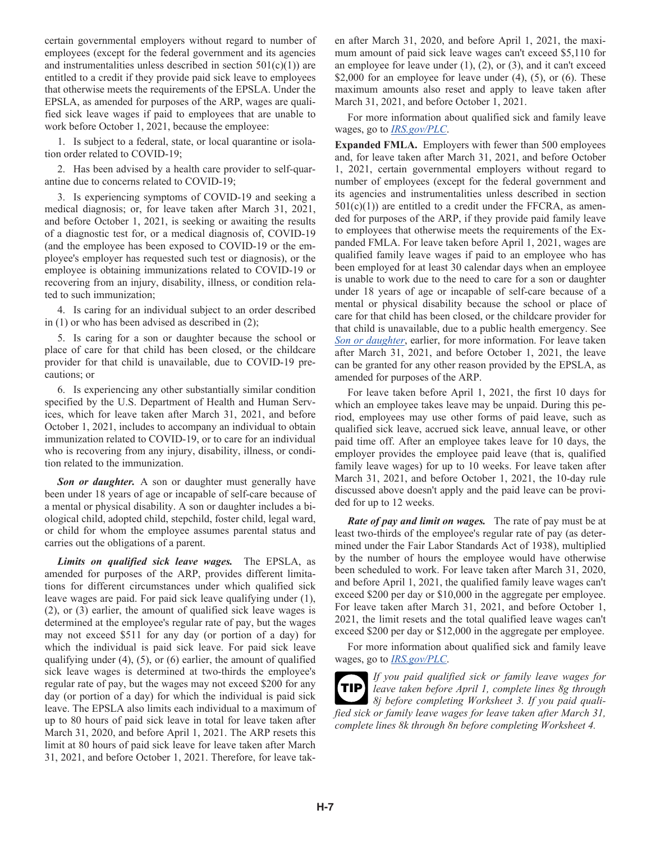certain governmental employers without regard to number of employees (except for the federal government and its agencies and instrumentalities unless described in section  $501(c)(1)$  are entitled to a credit if they provide paid sick leave to employees that otherwise meets the requirements of the EPSLA. Under the EPSLA, as amended for purposes of the ARP, wages are qualified sick leave wages if paid to employees that are unable to work before October 1, 2021, because the employee:

1. Is subject to a federal, state, or local quarantine or isolation order related to COVID-19;

2. Has been advised by a health care provider to self-quarantine due to concerns related to COVID-19;

3. Is experiencing symptoms of COVID-19 and seeking a medical diagnosis; or, for leave taken after March 31, 2021, and before October 1, 2021, is seeking or awaiting the results of a diagnostic test for, or a medical diagnosis of, COVID-19 (and the employee has been exposed to COVID-19 or the employee's employer has requested such test or diagnosis), or the employee is obtaining immunizations related to COVID-19 or recovering from an injury, disability, illness, or condition related to such immunization;

4. Is caring for an individual subject to an order described in (1) or who has been advised as described in (2);

5. Is caring for a son or daughter because the school or place of care for that child has been closed, or the childcare provider for that child is unavailable, due to COVID-19 precautions; or

6. Is experiencing any other substantially similar condition specified by the U.S. Department of Health and Human Services, which for leave taken after March 31, 2021, and before October 1, 2021, includes to accompany an individual to obtain immunization related to COVID-19, or to care for an individual who is recovering from any injury, disability, illness, or condition related to the immunization.

*Son or daughter.* A son or daughter must generally have been under 18 years of age or incapable of self-care because of a mental or physical disability. A son or daughter includes a biological child, adopted child, stepchild, foster child, legal ward, or child for whom the employee assumes parental status and carries out the obligations of a parent.

*Limits on qualified sick leave wages.* The EPSLA, as amended for purposes of the ARP, provides different limitations for different circumstances under which qualified sick leave wages are paid. For paid sick leave qualifying under (1), (2), or (3) earlier, the amount of qualified sick leave wages is determined at the employee's regular rate of pay, but the wages may not exceed \$511 for any day (or portion of a day) for which the individual is paid sick leave. For paid sick leave qualifying under  $(4)$ ,  $(5)$ , or  $(6)$  earlier, the amount of qualified sick leave wages is determined at two-thirds the employee's regular rate of pay, but the wages may not exceed \$200 for any day (or portion of a day) for which the individual is paid sick leave. The EPSLA also limits each individual to a maximum of up to 80 hours of paid sick leave in total for leave taken after March 31, 2020, and before April 1, 2021. The ARP resets this limit at 80 hours of paid sick leave for leave taken after March 31, 2021, and before October 1, 2021. Therefore, for leave taken after March 31, 2020, and before April 1, 2021, the maximum amount of paid sick leave wages can't exceed \$5,110 for an employee for leave under  $(1)$ ,  $(2)$ , or  $(3)$ , and it can't exceed \$2,000 for an employee for leave under  $(4)$ ,  $(5)$ , or  $(6)$ . These maximum amounts also reset and apply to leave taken after March 31, 2021, and before October 1, 2021.

For more information about qualified sick and family leave wages, go to *[IRS.gov/PLC](https://www.irs.gov/plc)*.

**Expanded FMLA.** Employers with fewer than 500 employees and, for leave taken after March 31, 2021, and before October 1, 2021, certain governmental employers without regard to number of employees (except for the federal government and its agencies and instrumentalities unless described in section  $501(c)(1)$  are entitled to a credit under the FFCRA, as amended for purposes of the ARP, if they provide paid family leave to employees that otherwise meets the requirements of the Expanded FMLA. For leave taken before April 1, 2021, wages are qualified family leave wages if paid to an employee who has been employed for at least 30 calendar days when an employee is unable to work due to the need to care for a son or daughter under 18 years of age or incapable of self-care because of a mental or physical disability because the school or place of care for that child has been closed, or the childcare provider for that child is unavailable, due to a public health emergency. See *Son or daughter*, earlier, for more information. For leave taken after March 31, 2021, and before October 1, 2021, the leave can be granted for any other reason provided by the EPSLA, as amended for purposes of the ARP.

For leave taken before April 1, 2021, the first 10 days for which an employee takes leave may be unpaid. During this period, employees may use other forms of paid leave, such as qualified sick leave, accrued sick leave, annual leave, or other paid time off. After an employee takes leave for 10 days, the employer provides the employee paid leave (that is, qualified family leave wages) for up to 10 weeks. For leave taken after March 31, 2021, and before October 1, 2021, the 10-day rule discussed above doesn't apply and the paid leave can be provided for up to 12 weeks.

*Rate of pay and limit on wages.* The rate of pay must be at least two-thirds of the employee's regular rate of pay (as determined under the Fair Labor Standards Act of 1938), multiplied by the number of hours the employee would have otherwise been scheduled to work. For leave taken after March 31, 2020, and before April 1, 2021, the qualified family leave wages can't exceed \$200 per day or \$10,000 in the aggregate per employee. For leave taken after March 31, 2021, and before October 1, 2021, the limit resets and the total qualified leave wages can't exceed \$200 per day or \$12,000 in the aggregate per employee.

For more information about qualified sick and family leave wages, go to *[IRS.gov/PLC](https://www.irs.gov/plc)*.

*If you paid qualified sick or family leave wages for leave taken before April 1, complete lines 8g through 8j before completing Worksheet 3. If you paid qualified sick or family leave wages for leave taken after March 31, complete lines 8k through 8n before completing Worksheet 4.* **TIP**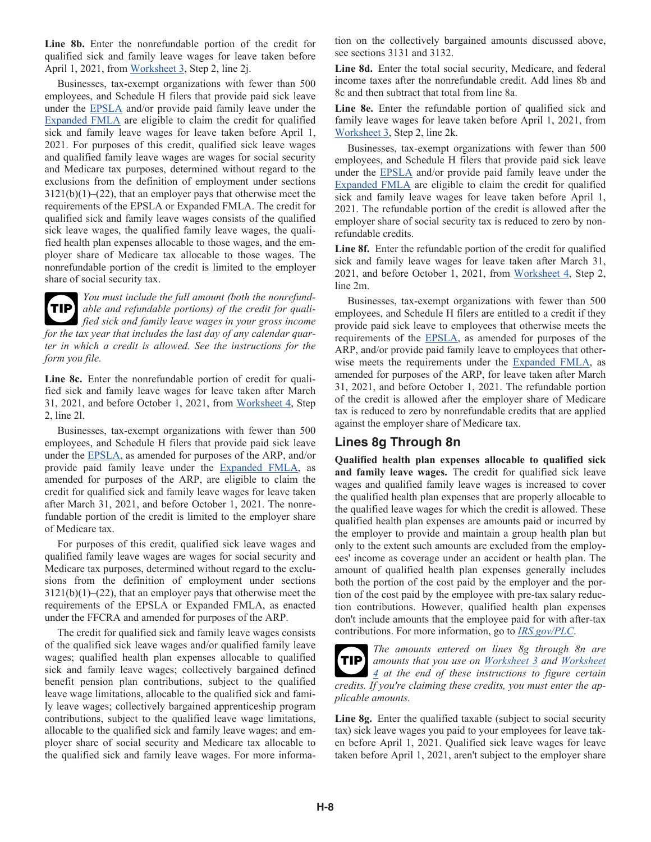**Line 8b.** Enter the nonrefundable portion of the credit for qualified sick and family leave wages for leave taken before April 1, 2021, from Worksheet 3, Step 2, line 2j.

Businesses, tax-exempt organizations with fewer than 500 employees, and Schedule H filers that provide paid sick leave under the EPSLA and/or provide paid family leave under the Expanded FMLA are eligible to claim the credit for qualified sick and family leave wages for leave taken before April 1, 2021. For purposes of this credit, qualified sick leave wages and qualified family leave wages are wages for social security and Medicare tax purposes, determined without regard to the exclusions from the definition of employment under sections  $3121(b)(1)$ –(22), that an employer pays that otherwise meet the requirements of the EPSLA or Expanded FMLA. The credit for qualified sick and family leave wages consists of the qualified sick leave wages, the qualified family leave wages, the qualified health plan expenses allocable to those wages, and the employer share of Medicare tax allocable to those wages. The nonrefundable portion of the credit is limited to the employer share of social security tax.



*You must include the full amount (both the nonrefundable and refundable portions) of the credit for qualified sick and family leave wages in your gross income for the tax year that includes the last day of any calendar quarter in which a credit is allowed. See the instructions for the form you file.*

**Line 8c.** Enter the nonrefundable portion of credit for qualified sick and family leave wages for leave taken after March 31, 2021, and before October 1, 2021, from Worksheet 4, Step 2, line 2l.

Businesses, tax-exempt organizations with fewer than 500 employees, and Schedule H filers that provide paid sick leave under the EPSLA, as amended for purposes of the ARP, and/or provide paid family leave under the Expanded FMLA, as amended for purposes of the ARP, are eligible to claim the credit for qualified sick and family leave wages for leave taken after March 31, 2021, and before October 1, 2021. The nonrefundable portion of the credit is limited to the employer share of Medicare tax.

For purposes of this credit, qualified sick leave wages and qualified family leave wages are wages for social security and Medicare tax purposes, determined without regard to the exclusions from the definition of employment under sections  $3121(b)(1)$ –(22), that an employer pays that otherwise meet the requirements of the EPSLA or Expanded FMLA, as enacted under the FFCRA and amended for purposes of the ARP.

The credit for qualified sick and family leave wages consists of the qualified sick leave wages and/or qualified family leave wages; qualified health plan expenses allocable to qualified sick and family leave wages; collectively bargained defined benefit pension plan contributions, subject to the qualified leave wage limitations, allocable to the qualified sick and family leave wages; collectively bargained apprenticeship program contributions, subject to the qualified leave wage limitations, allocable to the qualified sick and family leave wages; and employer share of social security and Medicare tax allocable to the qualified sick and family leave wages. For more information on the collectively bargained amounts discussed above, see sections 3131 and 3132.

**Line 8d.** Enter the total social security, Medicare, and federal income taxes after the nonrefundable credit. Add lines 8b and 8c and then subtract that total from line 8a.

**Line 8e.** Enter the refundable portion of qualified sick and family leave wages for leave taken before April 1, 2021, from Worksheet 3, Step 2, line 2k.

Businesses, tax-exempt organizations with fewer than 500 employees, and Schedule H filers that provide paid sick leave under the EPSLA and/or provide paid family leave under the Expanded FMLA are eligible to claim the credit for qualified sick and family leave wages for leave taken before April 1, 2021. The refundable portion of the credit is allowed after the employer share of social security tax is reduced to zero by nonrefundable credits.

Line 8f. Enter the refundable portion of the credit for qualified sick and family leave wages for leave taken after March 31, 2021, and before October 1, 2021, from Worksheet 4, Step 2, line 2m.

Businesses, tax-exempt organizations with fewer than 500 employees, and Schedule H filers are entitled to a credit if they provide paid sick leave to employees that otherwise meets the requirements of the EPSLA, as amended for purposes of the ARP, and/or provide paid family leave to employees that otherwise meets the requirements under the Expanded FMLA, as amended for purposes of the ARP, for leave taken after March 31, 2021, and before October 1, 2021. The refundable portion of the credit is allowed after the employer share of Medicare tax is reduced to zero by nonrefundable credits that are applied against the employer share of Medicare tax.

### **Lines 8g Through 8n**

**Qualified health plan expenses allocable to qualified sick and family leave wages.** The credit for qualified sick leave wages and qualified family leave wages is increased to cover the qualified health plan expenses that are properly allocable to the qualified leave wages for which the credit is allowed. These qualified health plan expenses are amounts paid or incurred by the employer to provide and maintain a group health plan but only to the extent such amounts are excluded from the employees' income as coverage under an accident or health plan. The amount of qualified health plan expenses generally includes both the portion of the cost paid by the employer and the portion of the cost paid by the employee with pre-tax salary reduction contributions. However, qualified health plan expenses don't include amounts that the employee paid for with after-tax contributions. For more information, go to *[IRS.gov/PLC](https://www.irs.gov/plc)*.

*The amounts entered on lines 8g through 8n are amounts that you use on Worksheet 3 and Worksheet*  **TIP** *4 at the end of these instructions to figure certain credits. If you're claiming these credits, you must enter the applicable amounts.*

**Line 8g.** Enter the qualified taxable (subject to social security tax) sick leave wages you paid to your employees for leave taken before April 1, 2021. Qualified sick leave wages for leave taken before April 1, 2021, aren't subject to the employer share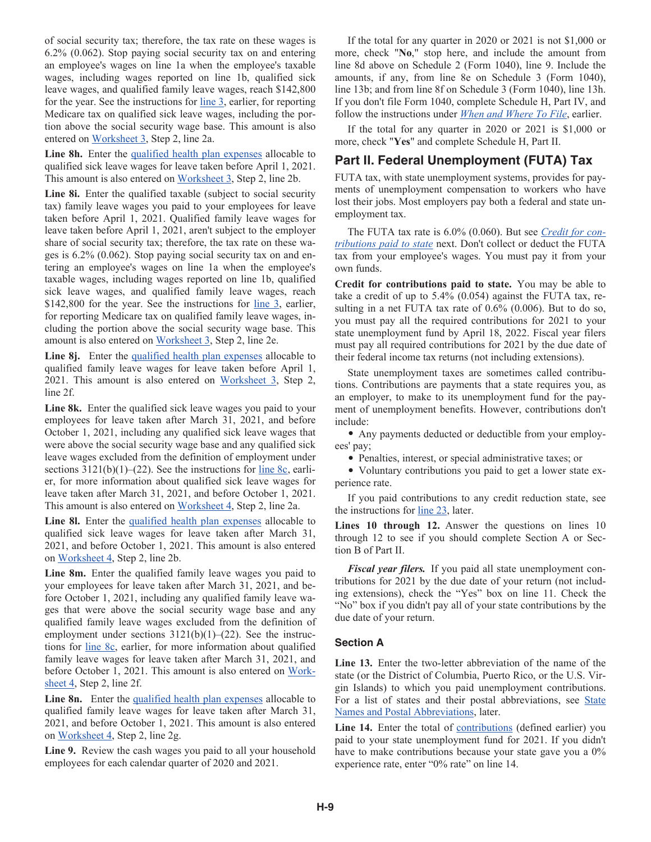of social security tax; therefore, the tax rate on these wages is 6.2% (0.062). Stop paying social security tax on and entering an employee's wages on line 1a when the employee's taxable wages, including wages reported on line 1b, qualified sick leave wages, and qualified family leave wages, reach \$142,800 for the year. See the instructions for line 3, earlier, for reporting Medicare tax on qualified sick leave wages, including the portion above the social security wage base. This amount is also entered on Worksheet 3, Step 2, line 2a.

**Line 8h.** Enter the qualified health plan expenses allocable to qualified sick leave wages for leave taken before April 1, 2021. This amount is also entered on Worksheet 3, Step 2, line 2b.

Line 8i. Enter the qualified taxable (subject to social security tax) family leave wages you paid to your employees for leave taken before April 1, 2021. Qualified family leave wages for leave taken before April 1, 2021, aren't subject to the employer share of social security tax; therefore, the tax rate on these wages is 6.2% (0.062). Stop paying social security tax on and entering an employee's wages on line 1a when the employee's taxable wages, including wages reported on line 1b, qualified sick leave wages, and qualified family leave wages, reach \$142,800 for the year. See the instructions for line 3, earlier, for reporting Medicare tax on qualified family leave wages, including the portion above the social security wage base. This amount is also entered on Worksheet 3, Step 2, line 2e.

Line 8*j*. Enter the qualified health plan expenses allocable to qualified family leave wages for leave taken before April 1, 2021. This amount is also entered on Worksheet 3, Step 2, line 2f.

Line 8k. Enter the qualified sick leave wages you paid to your employees for leave taken after March 31, 2021, and before October 1, 2021, including any qualified sick leave wages that were above the social security wage base and any qualified sick leave wages excluded from the definition of employment under sections  $3121(b)(1)–(22)$ . See the instructions for line 8c, earlier, for more information about qualified sick leave wages for leave taken after March 31, 2021, and before October 1, 2021. This amount is also entered on Worksheet 4, Step 2, line 2a.

Line 8l. Enter the qualified health plan expenses allocable to qualified sick leave wages for leave taken after March 31, 2021, and before October 1, 2021. This amount is also entered on Worksheet 4, Step 2, line 2b.

**Line 8m.** Enter the qualified family leave wages you paid to your employees for leave taken after March 31, 2021, and before October 1, 2021, including any qualified family leave wages that were above the social security wage base and any qualified family leave wages excluded from the definition of employment under sections  $3121(b)(1)-(22)$ . See the instructions for line 8c, earlier, for more information about qualified family leave wages for leave taken after March 31, 2021, and before October 1, 2021. This amount is also entered on Worksheet 4, Step 2, line 2f.

Line **8n.** Enter the qualified health plan expenses allocable to qualified family leave wages for leave taken after March 31, 2021, and before October 1, 2021. This amount is also entered on Worksheet 4, Step 2, line 2g.

**Line 9.** Review the cash wages you paid to all your household employees for each calendar quarter of 2020 and 2021.

If the total for any quarter in 2020 or 2021 is not \$1,000 or more, check "**No**," stop here, and include the amount from line 8d above on Schedule 2 (Form 1040), line 9. Include the amounts, if any, from line 8e on Schedule 3 (Form 1040), line 13b; and from line 8f on Schedule 3 (Form 1040), line 13h. If you don't file Form 1040, complete Schedule H, Part IV, and follow the instructions under *When and Where To File*, earlier.

If the total for any quarter in 2020 or 2021 is \$1,000 or more, check "**Yes**" and complete Schedule H, Part II.

### **Part II. Federal Unemployment (FUTA) Tax**

FUTA tax, with state unemployment systems, provides for payments of unemployment compensation to workers who have lost their jobs. Most employers pay both a federal and state unemployment tax.

The FUTA tax rate is 6.0% (0.060). But see *Credit for contributions paid to state* next. Don't collect or deduct the FUTA tax from your employee's wages. You must pay it from your own funds.

**Credit for contributions paid to state.** You may be able to take a credit of up to 5.4% (0.054) against the FUTA tax, resulting in a net FUTA tax rate of 0.6% (0.006). But to do so, you must pay all the required contributions for 2021 to your state unemployment fund by April 18, 2022. Fiscal year filers must pay all required contributions for 2021 by the due date of their federal income tax returns (not including extensions).

State unemployment taxes are sometimes called contributions. Contributions are payments that a state requires you, as an employer, to make to its unemployment fund for the payment of unemployment benefits. However, contributions don't include:

• Any payments deducted or deductible from your employees' pay;

• Penalties, interest, or special administrative taxes; or

• Voluntary contributions you paid to get a lower state experience rate.

If you paid contributions to any credit reduction state, see the instructions for line 23, later.

**Lines 10 through 12.** Answer the questions on lines 10 through 12 to see if you should complete Section A or Section B of Part II.

*Fiscal year filers.* If you paid all state unemployment contributions for 2021 by the due date of your return (not including extensions), check the "Yes" box on line 11. Check the "No" box if you didn't pay all of your state contributions by the due date of your return.

#### **Section A**

**Line 13.** Enter the two-letter abbreviation of the name of the state (or the District of Columbia, Puerto Rico, or the U.S. Virgin Islands) to which you paid unemployment contributions. For a list of states and their postal abbreviations, see State Names and Postal Abbreviations, later.

**Line 14.** Enter the total of contributions (defined earlier) you paid to your state unemployment fund for 2021. If you didn't have to make contributions because your state gave you a 0% experience rate, enter "0% rate" on line 14.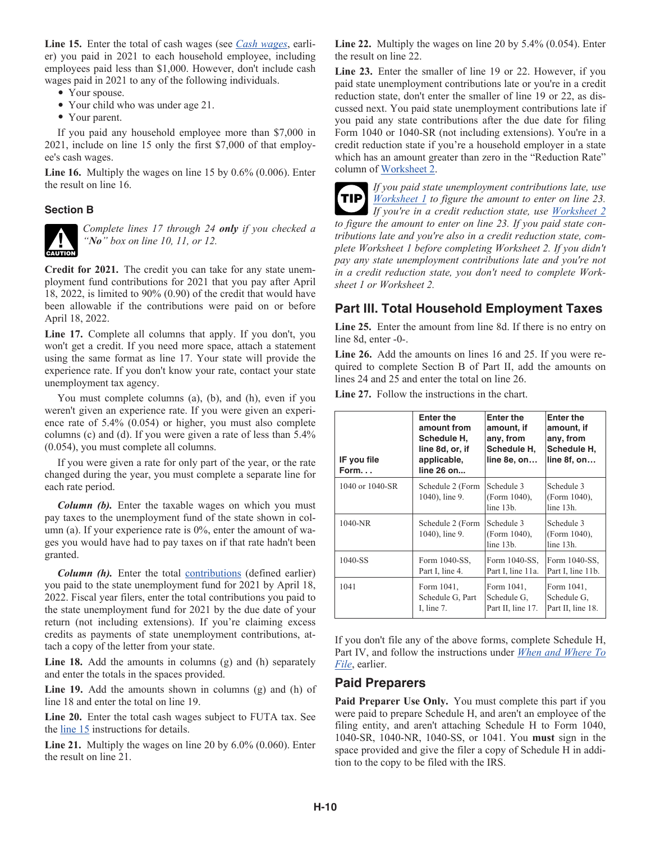**Line 15.** Enter the total of cash wages (see *Cash wages*, earlier) you paid in 2021 to each household employee, including employees paid less than \$1,000. However, don't include cash wages paid in 2021 to any of the following individuals.

- Your spouse.
- Your child who was under age 21.
- Your parent.

If you paid any household employee more than \$7,000 in 2021, include on line 15 only the first \$7,000 of that employee's cash wages.

**Line 16.** Multiply the wages on line 15 by 0.6% (0.006). Enter the result on line 16.

#### **Section B**



*Complete lines 17 through 24 only if you checked a "No" box on line 10, 11, or 12.*

**Credit for 2021.** The credit you can take for any state unemployment fund contributions for 2021 that you pay after April 18, 2022, is limited to 90% (0.90) of the credit that would have been allowable if the contributions were paid on or before April 18, 2022.

Line 17. Complete all columns that apply. If you don't, you won't get a credit. If you need more space, attach a statement using the same format as line 17. Your state will provide the experience rate. If you don't know your rate, contact your state unemployment tax agency.

You must complete columns (a), (b), and (h), even if you weren't given an experience rate. If you were given an experience rate of 5.4% (0.054) or higher, you must also complete columns (c) and (d). If you were given a rate of less than 5.4% (0.054), you must complete all columns.

If you were given a rate for only part of the year, or the rate changed during the year, you must complete a separate line for each rate period.

*Column (b).* Enter the taxable wages on which you must pay taxes to the unemployment fund of the state shown in column (a). If your experience rate is 0%, enter the amount of wages you would have had to pay taxes on if that rate hadn't been granted.

**Column (h).** Enter the total contributions (defined earlier) you paid to the state unemployment fund for 2021 by April 18, 2022. Fiscal year filers, enter the total contributions you paid to the state unemployment fund for 2021 by the due date of your return (not including extensions). If you're claiming excess credits as payments of state unemployment contributions, attach a copy of the letter from your state.

**Line 18.** Add the amounts in columns (g) and (h) separately and enter the totals in the spaces provided.

**Line 19.** Add the amounts shown in columns (g) and (h) of line 18 and enter the total on line 19.

**Line 20.** Enter the total cash wages subject to FUTA tax. See the line 15 instructions for details.

**Line 21.** Multiply the wages on line 20 by 6.0% (0.060). Enter the result on line 21.

**Line 22.** Multiply the wages on line 20 by 5.4% (0.054). Enter the result on line 22.

**Line 23.** Enter the smaller of line 19 or 22. However, if you paid state unemployment contributions late or you're in a credit reduction state, don't enter the smaller of line 19 or 22, as discussed next. You paid state unemployment contributions late if you paid any state contributions after the due date for filing Form 1040 or 1040-SR (not including extensions). You're in a credit reduction state if you're a household employer in a state which has an amount greater than zero in the "Reduction Rate" column of Worksheet 2.



*If you paid state unemployment contributions late, use Worksheet 1 to figure the amount to enter on line 23. If you're in a credit reduction state, use Worksheet 2 to figure the amount to enter on line 23. If you paid state contributions late and you're also in a credit reduction state, complete Worksheet 1 before completing Worksheet 2. If you didn't pay any state unemployment contributions late and you're not in a credit reduction state, you don't need to complete Worksheet 1 or Worksheet 2.*

### **Part III. Total Household Employment Taxes**

**Line 25.** Enter the amount from line 8d. If there is no entry on line 8d, enter -0-.

**Line 26.** Add the amounts on lines 16 and 25. If you were required to complete Section B of Part II, add the amounts on lines 24 and 25 and enter the total on line 26.

**Line 27.** Follow the instructions in the chart.

| IF you file<br>Form. $\ldots$ | <b>Enter the</b><br>amount from<br>Schedule H.<br>line 8d, or, if<br>applicable,<br>line 26 on | <b>Enter the</b><br>amount, if<br>any, from<br>Schedule H.<br>line 8e, on | <b>Enter the</b><br>amount, if<br>any, from<br>Schedule H.<br>line 8f, on |
|-------------------------------|------------------------------------------------------------------------------------------------|---------------------------------------------------------------------------|---------------------------------------------------------------------------|
| 1040 or 1040-SR               | Schedule 2 (Form<br>1040), line 9.                                                             | Schedule 3<br>(Form 1040),<br>$line 13b$ .                                | Schedule 3<br>(Form 1040),<br>$line 13h$ .                                |
| $1040-NR$                     | Schedule 2 (Form<br>1040), line 9.                                                             | Schedule 3<br>(Form 1040),<br>line 13b.                                   | Schedule 3<br>(Form 1040).<br>$line 13h$ .                                |
| 1040-SS                       | Form 1040-SS,<br>Part I, line 4.                                                               | Form 1040-SS,<br>Part I, line 11a.                                        | Form 1040-SS,<br>Part I, line 11b.                                        |
| 1041                          | Form 1041,<br>Schedule G, Part<br>I, line $7$ .                                                | Form 1041,<br>Schedule G.<br>Part II, line 17.                            | Form 1041,<br>Schedule G.<br>Part II, line 18.                            |

If you don't file any of the above forms, complete Schedule H, Part IV, and follow the instructions under *When and Where To File*, earlier.

#### **Paid Preparers**

Paid Preparer Use Only. You must complete this part if you were paid to prepare Schedule H, and aren't an employee of the filing entity, and aren't attaching Schedule H to Form 1040, 1040-SR, 1040-NR, 1040-SS, or 1041. You **must** sign in the space provided and give the filer a copy of Schedule H in addition to the copy to be filed with the IRS.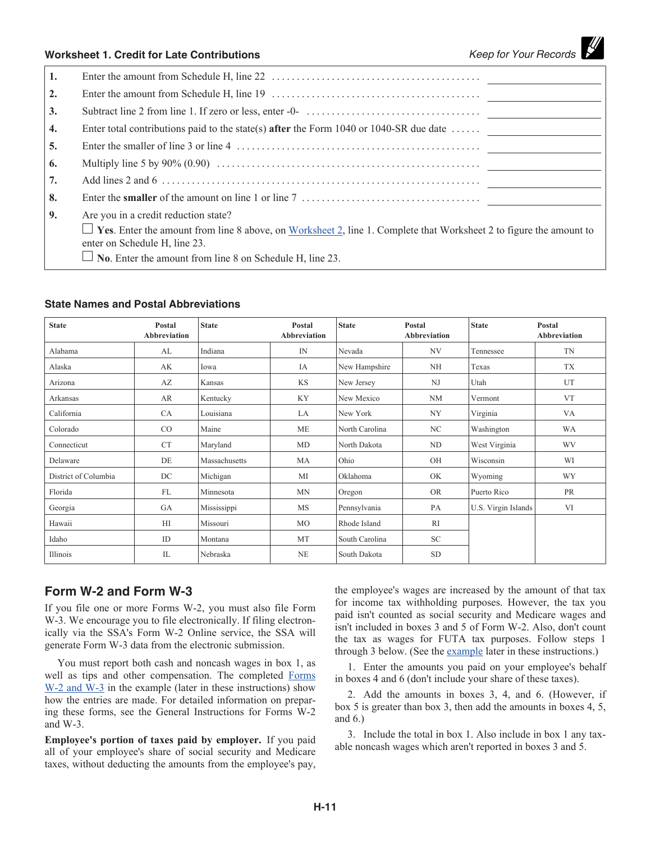### **Worksheet 1. Credit for Late Contributions** *Keep for Your Records*

| 1.               |                                                                                                                                                            |
|------------------|------------------------------------------------------------------------------------------------------------------------------------------------------------|
| 2.               |                                                                                                                                                            |
| 3.               |                                                                                                                                                            |
| $\overline{4}$ . | Enter total contributions paid to the state(s) after the Form 1040 or 1040-SR due date $\dots$                                                             |
| 5.               |                                                                                                                                                            |
| 6.               |                                                                                                                                                            |
| 7.               |                                                                                                                                                            |
| 8.               |                                                                                                                                                            |
| 9.               | Are you in a credit reduction state?                                                                                                                       |
|                  | $\Box$ Yes. Enter the amount from line 8 above, on Worksheet 2, line 1. Complete that Worksheet 2 to figure the amount to<br>enter on Schedule H, line 23. |
|                  | $\Box$ No. Enter the amount from line 8 on Schedule H, line 23.                                                                                            |

#### **State Names and Postal Abbreviations**

| <b>State</b>         | Postal<br>Abbreviation | <b>State</b>  | Postal<br><b>Abbreviation</b> | <b>State</b>                | <b>State</b><br>Postal<br>Abbreviation |                     | Postal<br>Abbreviation |  |
|----------------------|------------------------|---------------|-------------------------------|-----------------------------|----------------------------------------|---------------------|------------------------|--|
| Alabama              | AL                     | Indiana       | IN                            | Nevada                      | NV<br>Tennessee                        |                     | TN                     |  |
| Alaska               | AK                     | Iowa          | IA                            | New Hampshire               | NH                                     | Texas               | TX                     |  |
| Arizona              | AZ                     | Kansas        | <b>KS</b>                     | New Jersey                  | N <sub>J</sub>                         | Utah                | UT                     |  |
| Arkansas             | AR                     | Kentucky      | KY                            | New Mexico                  | NM                                     | Vermont             | <b>VT</b>              |  |
| California           | CA                     | Louisiana     | LA                            | New York                    | <b>NY</b>                              | Virginia            | VA                     |  |
| Colorado             | $\rm CO$               | Maine         | ME                            | North Carolina              | NC                                     | Washington          | WA                     |  |
| Connecticut          | <b>CT</b>              | Maryland      | MD                            | North Dakota                | ND                                     | West Virginia       | <b>WV</b>              |  |
| Delaware             | DE                     | Massachusetts | MA                            | Ohio                        | OH                                     | Wisconsin           | WI                     |  |
| District of Columbia | DC                     | Michigan      | MI                            | Oklahoma                    | OK                                     | Wyoming             | <b>WY</b>              |  |
| Florida              | <b>FL</b>              | Minnesota     | <b>MN</b>                     | Oregon                      | <b>OR</b>                              | Puerto Rico         | <b>PR</b>              |  |
| Georgia              | GA                     | Mississippi   | MS                            | Pennsylvania                | PA                                     | U.S. Virgin Islands | VI                     |  |
| Hawaii               | HI                     | Missouri      | MO                            | Rhode Island                | RI                                     |                     |                        |  |
| Idaho                | ID                     | Montana       | MT                            | <b>SC</b><br>South Carolina |                                        |                     |                        |  |
| Illinois             | IL                     | Nebraska      | NE                            | South Dakota                | <b>SD</b>                              |                     |                        |  |

### **Form W-2 and Form W-3**

If you file one or more Forms W-2, you must also file Form W-3. We encourage you to file electronically. If filing electronically via the SSA's Form W-2 Online service, the SSA will generate Form W-3 data from the electronic submission.

You must report both cash and noncash wages in box 1, as well as tips and other compensation. The completed Forms W-2 and W-3 in the example (later in these instructions) show how the entries are made. For detailed information on preparing these forms, see the General Instructions for Forms W-2 and W-3.

**Employee's portion of taxes paid by employer.** If you paid all of your employee's share of social security and Medicare taxes, without deducting the amounts from the employee's pay, the employee's wages are increased by the amount of that tax for income tax withholding purposes. However, the tax you paid isn't counted as social security and Medicare wages and isn't included in boxes 3 and 5 of Form W-2. Also, don't count the tax as wages for FUTA tax purposes. Follow steps 1 through 3 below. (See the example later in these instructions.)

1. Enter the amounts you paid on your employee's behalf in boxes 4 and 6 (don't include your share of these taxes).

2. Add the amounts in boxes 3, 4, and 6. (However, if box 5 is greater than box 3, then add the amounts in boxes 4, 5, and 6.)

3. Include the total in box 1. Also include in box 1 any taxable noncash wages which aren't reported in boxes 3 and 5.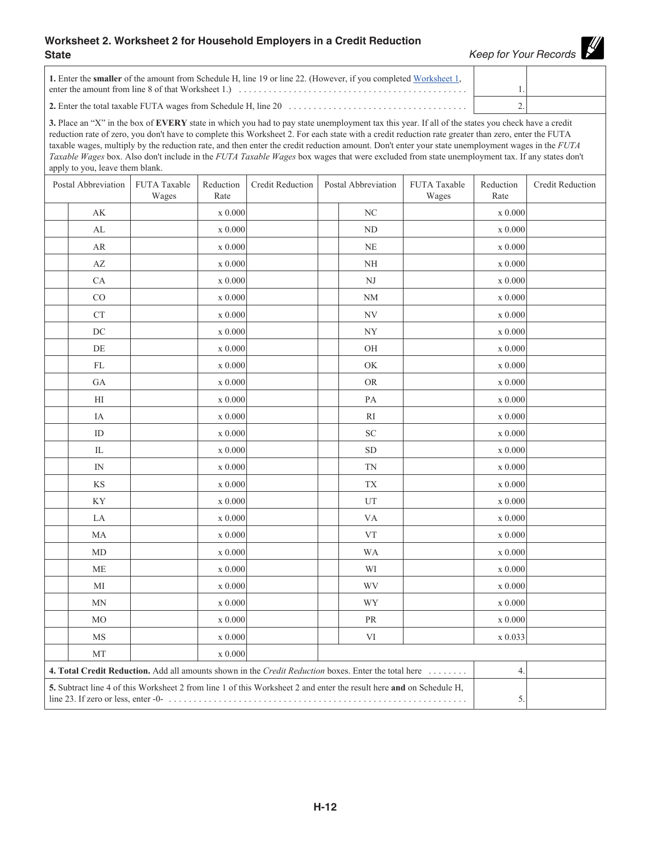#### **Worksheet 2. Worksheet 2 for Household Employers in a Credit Reduction State** *Keep for Your Records*

y

| 1. Enter the <b>smaller</b> of the amount from Schedule H, line 19 or line 22. (However, if you completed Worksheet 1,     |  |
|----------------------------------------------------------------------------------------------------------------------------|--|
| enter the amount from line 8 of that Worksheet 1.) $\ldots$ $\ldots$ $\ldots$ $\ldots$ $\ldots$ $\ldots$ $\ldots$ $\ldots$ |  |

**2.** Enter the total taxable FUTA wages from Schedule H, line 20 .................................... 2.

 $\overline{\Gamma}$ 

**3.** Place an "X" in the box of **EVERY** state in which you had to pay state unemployment tax this year. If all of the states you check have a credit reduction rate of zero, you don't have to complete this Worksheet 2. For each state with a credit reduction rate greater than zero, enter the FUTA taxable wages, multiply by the reduction rate, and then enter the credit reduction amount. Don't enter your state unemployment wages in the *FUTA Taxable Wages* box. Also don't include in the *FUTA Taxable Wages* box wages that were excluded from state unemployment tax. If any states don't apply to you, leave them blank.

| Postal Abbreviation |                                                                                                                     | FUTA Taxable<br>Wages | Reduction<br>Rate               | Credit Reduction                                                                                     | Postal Abbreviation | FUTA Taxable<br>Wages | Reduction<br>Rate               | <b>Credit Reduction</b> |
|---------------------|---------------------------------------------------------------------------------------------------------------------|-----------------------|---------------------------------|------------------------------------------------------------------------------------------------------|---------------------|-----------------------|---------------------------------|-------------------------|
|                     | AK                                                                                                                  |                       | x 0.000                         |                                                                                                      | $\rm NC$            |                       | x 0.000                         |                         |
|                     | $\mathbf{AL}$                                                                                                       |                       | x 0.000                         |                                                                                                      | ND                  |                       | $\ge 0.000$                     |                         |
|                     | AR                                                                                                                  |                       | $\boldsymbol{\mathrm{x}}$ 0.000 |                                                                                                      | <b>NE</b>           |                       | x 0.000                         |                         |
|                     | AZ                                                                                                                  |                       | x 0.000                         |                                                                                                      | NH                  |                       | x 0.000                         |                         |
|                     | CA                                                                                                                  |                       | x 0.000                         |                                                                                                      | NJ                  |                       | x 0.000                         |                         |
|                     | CO                                                                                                                  |                       | x 0.000                         |                                                                                                      | NM                  |                       | $\ge 0.000$                     |                         |
|                     | CT                                                                                                                  |                       | x 0.000                         |                                                                                                      | NV                  |                       | $\ge 0.000$                     |                         |
|                     | DC                                                                                                                  |                       | x 0.000                         |                                                                                                      | <b>NY</b>           |                       | $\ge 0.000$                     |                         |
|                     | DE                                                                                                                  |                       | x 0.000                         |                                                                                                      | OH                  |                       | x 0.000                         |                         |
|                     | FL                                                                                                                  |                       | x 0.000                         |                                                                                                      | OK                  |                       | x 0.000                         |                         |
|                     | GA                                                                                                                  |                       | x 0.000                         |                                                                                                      | <b>OR</b>           |                       | x 0.000                         |                         |
|                     | HI                                                                                                                  |                       | x 0.000                         |                                                                                                      | PA                  |                       | x 0.000                         |                         |
|                     | IA                                                                                                                  |                       | x 0.000                         |                                                                                                      | RI                  |                       | x 0.000                         |                         |
|                     | ID                                                                                                                  |                       | x 0.000                         |                                                                                                      | <b>SC</b>           |                       | x 0.000                         |                         |
|                     | IL                                                                                                                  |                       | x 0.000                         |                                                                                                      | <b>SD</b>           |                       | x 0.000                         |                         |
|                     | IN                                                                                                                  |                       | $x$ 0.000                       |                                                                                                      | TN                  |                       | $\ge 0.000$                     |                         |
|                     | KS                                                                                                                  |                       | x 0.000                         |                                                                                                      | TX                  |                       | x 0.000                         |                         |
|                     | KY                                                                                                                  |                       | x 0.000                         |                                                                                                      | UT                  |                       | x 0.000                         |                         |
|                     | LA                                                                                                                  |                       | $\ge 0.000$                     |                                                                                                      | VA                  |                       | $\boldsymbol{\mathrm{x}}$ 0.000 |                         |
|                     | МA                                                                                                                  |                       | x 0.000                         |                                                                                                      | VT                  |                       | $\ge 0.000$                     |                         |
|                     | MD                                                                                                                  |                       | x 0.000                         |                                                                                                      | <b>WA</b>           |                       | x 0.000                         |                         |
|                     | ME                                                                                                                  |                       | x 0.000                         |                                                                                                      | WI                  |                       | x 0.000                         |                         |
|                     | MI                                                                                                                  |                       | x 0.000                         |                                                                                                      | WV                  |                       | x 0.000                         |                         |
|                     | <b>MN</b>                                                                                                           |                       | x 0.000                         |                                                                                                      | WY                  |                       | x 0.000                         |                         |
|                     | M <sub>O</sub>                                                                                                      |                       | x 0.000                         |                                                                                                      | $\rm PR$            |                       | $\boldsymbol{\mathrm{x}}$ 0.000 |                         |
|                     | <b>MS</b>                                                                                                           |                       | x 0.000                         |                                                                                                      | VI                  |                       | $\ge 0.033$                     |                         |
|                     | MT                                                                                                                  |                       | x 0.000                         |                                                                                                      |                     |                       |                                 |                         |
|                     |                                                                                                                     |                       |                                 | 4. Total Credit Reduction. Add all amounts shown in the Credit Reduction boxes. Enter the total here |                     |                       | 4.                              |                         |
|                     | 5. Subtract line 4 of this Worksheet 2 from line 1 of this Worksheet 2 and enter the result here and on Schedule H, | 5.                    |                                 |                                                                                                      |                     |                       |                                 |                         |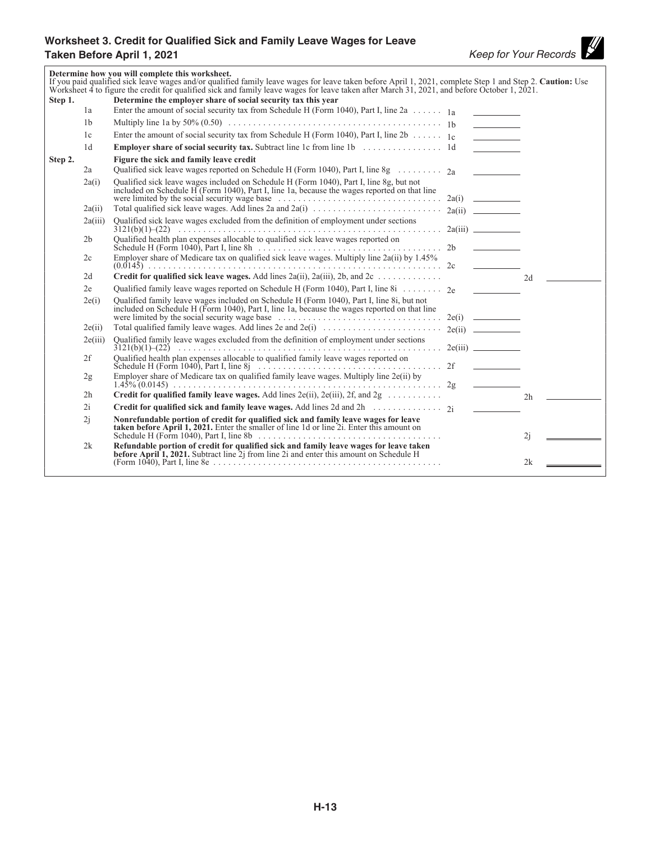# **Worksheet 3. Credit for Qualified Sick and Family Leave Wages for Leave Taken Before April 1, 2021**<br> **Taken Before April 1, 2021**<br> **Keep for Your Records**

|         |                | Determine how you will complete this worksheet.<br>If you paid qualified sick leave wages and/or qualified family leave wages for leave taken before April 1, 2021, complete Step 1 and Step 2. Caution: Use<br>Worksheet 4 to figure the credit for qualified sick and family leave wages for leave taken after March 31, 2021, and before October 1, 2021. |                          |    |
|---------|----------------|--------------------------------------------------------------------------------------------------------------------------------------------------------------------------------------------------------------------------------------------------------------------------------------------------------------------------------------------------------------|--------------------------|----|
| Step 1. |                | Determine the employer share of social security tax this year                                                                                                                                                                                                                                                                                                |                          |    |
|         | 1a             | Enter the amount of social security tax from Schedule H (Form 1040), Part I, line 2a $\ldots \ldots$ 1a                                                                                                                                                                                                                                                      |                          |    |
|         | 1 <sub>b</sub> |                                                                                                                                                                                                                                                                                                                                                              | <u> The Common State</u> |    |
|         | 1c             | Enter the amount of social security tax from Schedule H (Form 1040), Part I, line 2b $\ldots \ldots$ 1 <sub>c</sub>                                                                                                                                                                                                                                          | <b>Contract Contract</b> |    |
|         | 1 <sub>d</sub> |                                                                                                                                                                                                                                                                                                                                                              |                          |    |
| Step 2. |                | Figure the sick and family leave credit                                                                                                                                                                                                                                                                                                                      |                          |    |
|         | 2a             |                                                                                                                                                                                                                                                                                                                                                              |                          |    |
|         | 2a(i)          | Qualified sick leave wages included on Schedule H (Form 1040), Part I, line 8g, but not<br>included on Schedule H (Form 1040), Part I, line 1a, because the wages reported on that line                                                                                                                                                                      |                          |    |
|         | 2a(ii)         |                                                                                                                                                                                                                                                                                                                                                              |                          |    |
|         | 2a(iii)        | Qualified sick leave wages excluded from the definition of employment under sections                                                                                                                                                                                                                                                                         |                          |    |
|         | 2 <sub>b</sub> | Qualified health plan expenses allocable to qualified sick leave wages reported on                                                                                                                                                                                                                                                                           |                          |    |
|         | 2c             |                                                                                                                                                                                                                                                                                                                                                              |                          |    |
|         | 2d             | Credit for qualified sick leave wages. Add lines 2a(ii), 2a(iii), 2b, and 2c                                                                                                                                                                                                                                                                                 |                          | 2d |
|         | 2e             | Qualified family leave wages reported on Schedule H (Form 1040), Part I, line 8i $\ldots$ 2e                                                                                                                                                                                                                                                                 |                          |    |
|         | 2e(i)          | Qualified family leave wages included on Schedule H (Form 1040), Part I, line 8i, but not included on Schedule H (Form 1040), Part I, line 1a, because the wages reported on that line<br>were limited by the social security wage base $\ldots \ldots \ldots \ldots \ldots \ldots \ldots \ldots$ 2e(i)                                                      |                          |    |
|         | 2e(ii)         |                                                                                                                                                                                                                                                                                                                                                              |                          |    |
|         | 2e(iii)        | Qualified family leave wages excluded from the definition of employment under sections                                                                                                                                                                                                                                                                       |                          |    |
|         | 2f             | Qualified health plan expenses allocable to qualified family leave wages reported on                                                                                                                                                                                                                                                                         |                          |    |
|         | 2g             | Employer share of Medicare tax on qualified family leave wages. Multiply line 2e(ii) by                                                                                                                                                                                                                                                                      |                          |    |
|         | 2 <sub>h</sub> |                                                                                                                                                                                                                                                                                                                                                              |                          | 2h |
|         | 2i             |                                                                                                                                                                                                                                                                                                                                                              |                          |    |
|         | 2j             | Nonrefundable portion of credit for qualified sick and family leave wages for leave<br><b>taken before April 1, 2021.</b> Enter the smaller of line 1d or line 21. Enter this amount on                                                                                                                                                                      |                          | 2i |
|         | 2k             | Refundable portion of credit for qualified sick and family leave wages for leave taken<br>before April 1, 2021. Subtract line 2j from line 2i and enter this amount on Schedule H                                                                                                                                                                            |                          | 2k |
|         |                |                                                                                                                                                                                                                                                                                                                                                              |                          |    |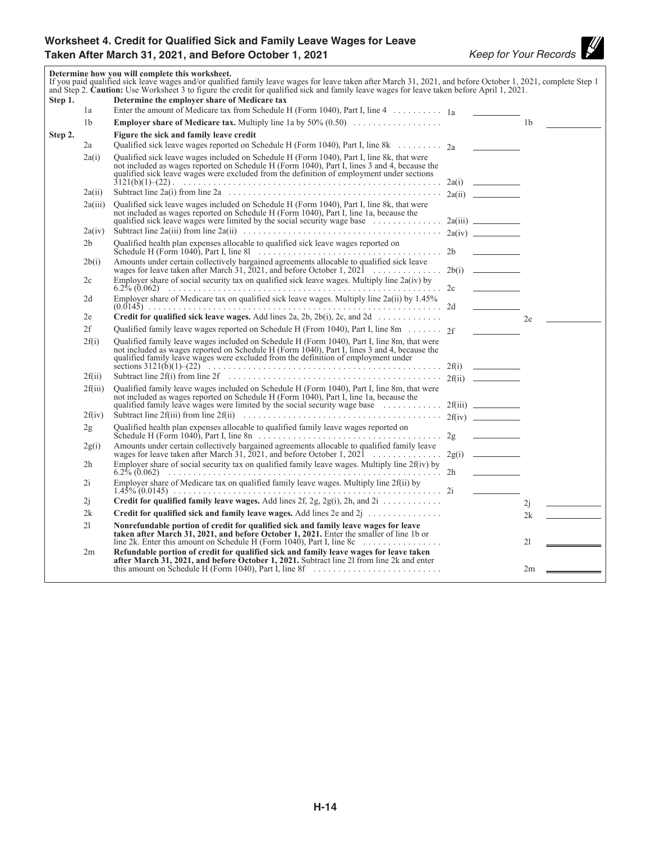### **Worksheet 4. Credit for Qualified Sick and Family Leave Wages for Leave**  Taken After March 31, 2021, and Before October 1, 2021<br>
Keep for Your Records

 $\mathscr U$ 

|         |                 | If you paid qualified sick leave wages and/or qualified family leave wages for leave taken after March 31, 2021, and before October 1, 2021, complete Step 1<br>and Step 2. Caution: Use Worksheet 3 to figure the credit for qualified sick and family leave wages for leave taken before April 1, 2021. |                |  |
|---------|-----------------|-----------------------------------------------------------------------------------------------------------------------------------------------------------------------------------------------------------------------------------------------------------------------------------------------------------|----------------|--|
| Step 1. | 1a              | Determine the employer share of Medicare tax<br>Enter the amount of Medicare tax from Schedule H (Form 1040), Part I, line 4 1a                                                                                                                                                                           |                |  |
|         | 1 <sub>b</sub>  |                                                                                                                                                                                                                                                                                                           | 1 <sub>b</sub> |  |
| Step 2. |                 | Figure the sick and family leave credit                                                                                                                                                                                                                                                                   |                |  |
|         | 2a              | Qualified sick leave wages reported on Schedule H (Form 1040), Part I, line 8k 2a                                                                                                                                                                                                                         |                |  |
|         | 2a(i)           | Qualified sick leave wages included on Schedule H (Form 1040), Part I, line 8k, that were<br>not included as wages reported on Schedule H (Form 1040), Part I, lines 3 and 4, because the<br>qualified sick leave wages were excluded from the definition of employment under sections                    |                |  |
|         | 2a(ii)          |                                                                                                                                                                                                                                                                                                           |                |  |
|         | 2a(iii)         | Qualified sick leave wages included on Schedule H (Form 1040), Part I, line 8k, that were<br>not included as wages reported on Schedule H (Form 1040), Part I, line 1a, because the                                                                                                                       |                |  |
|         | 2a(iv)          |                                                                                                                                                                                                                                                                                                           |                |  |
|         | 2 <sub>b</sub>  | Qualified health plan expenses allocable to qualified sick leave wages reported on<br>. 2b                                                                                                                                                                                                                |                |  |
|         | 2b(i)           | Amounts under certain collectively bargained agreements allocable to qualified sick leave                                                                                                                                                                                                                 |                |  |
|         | 2c              | Employer share of social security tax on qualified sick leave wages. Multiply line $2a(iv)$ by                                                                                                                                                                                                            |                |  |
|         | 2d              | Employer share of Medicare tax on qualified sick leave wages. Multiply line 2a(ii) by 1.45%                                                                                                                                                                                                               |                |  |
|         | 2e              | <b>Credit for qualified sick leave wages.</b> Add lines 2a, 2b, 2b(i), 2c, and 2d $\ldots$                                                                                                                                                                                                                | 2e             |  |
|         | 2f              | Qualified family leave wages reported on Schedule H (From 1040), Part I, line 8m 2f                                                                                                                                                                                                                       |                |  |
|         | 2f(i)<br>2f(ii) | Qualified family leave wages included on Schedule H (Form 1040), Part I, line 8m, that were<br>not included as wages reported on Schedule H (Form 1040), Part I, lines 3 and 4, because the qualified family leave wages were excluded from the definition of employment under                            |                |  |
|         | 2f(iii)         | Qualified family leave wages included on Schedule H (Form 1040), Part I, line 8m, that were                                                                                                                                                                                                               |                |  |
|         |                 | not included as wages reported on Schedule H (Form 1040), Part I, line 1a, because the                                                                                                                                                                                                                    |                |  |
|         | 2f(iv)          |                                                                                                                                                                                                                                                                                                           |                |  |
|         | 2g              | Qualified health plan expenses allocable to qualified family leave wages reported on                                                                                                                                                                                                                      |                |  |
|         | 2g(i)           | Amounts under certain collectively bargained agreements allocable to qualified family leave<br>wages for leave taken after March 31, 2021, and before October 1, 2021<br>2g(i)                                                                                                                            |                |  |
|         | 2 <sub>h</sub>  | Employer share of social security tax on qualified family leave wages. Multiply line 2f(iv) by                                                                                                                                                                                                            |                |  |
|         | 2i              | Employer share of Medicare tax on qualified family leave wages. Multiply line 2f(ii) by                                                                                                                                                                                                                   |                |  |
|         | 2i              | Credit for qualified family leave wages. Add lines 2f, 2g, 2g(i), 2h, and 2i                                                                                                                                                                                                                              | 2j             |  |
|         | 2k              |                                                                                                                                                                                                                                                                                                           | 2k             |  |
|         | 21              | Nonrefundable portion of credit for qualified sick and family leave wages for leave<br>taken after March 31, 2021, and before October 1, 2021. Enter the smaller of line 1b or<br>line 2k. Enter this amount on Schedule H (Form 1040), Part I, line 8c $\ldots \ldots \ldots \ldots$                     | 21             |  |
|         | 2m              | Refundable portion of credit for qualified sick and family leave wages for leave taken<br>after March 31, 2021, and before October 1, 2021. Subtract line 21 from line 2k and enter                                                                                                                       | 2m             |  |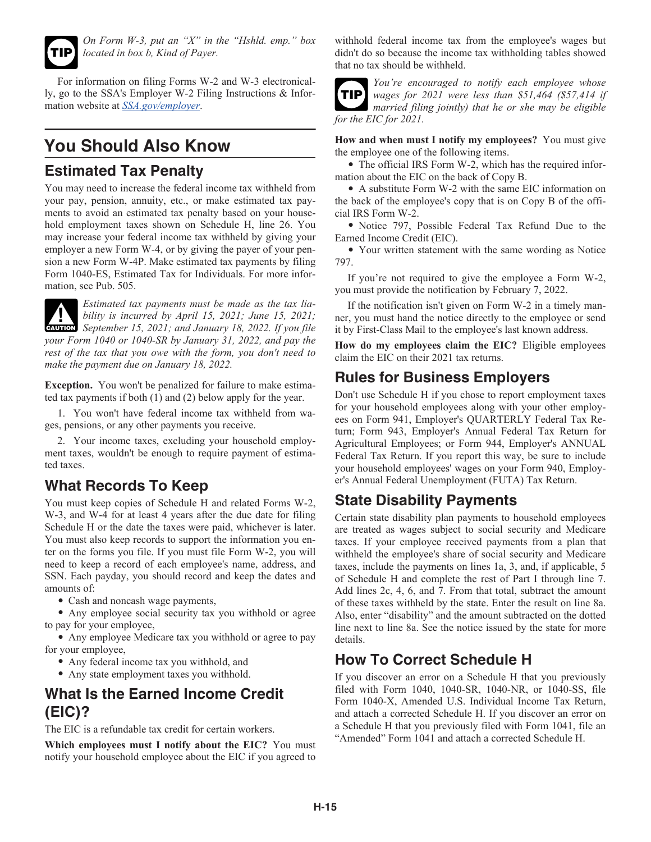

*On Form W-3, put an "X" in the "Hshld. emp." box located in box b, Kind of Payer.*

For information on filing Forms W-2 and W-3 electronically, go to the SSA's Employer W-2 Filing Instructions & Information website at *[SSA.gov/employer](https://www.ssa.gov/employer)*.

# **You Should Also Know**

### **Estimated Tax Penalty**

You may need to increase the federal income tax withheld from your pay, pension, annuity, etc., or make estimated tax payments to avoid an estimated tax penalty based on your household employment taxes shown on Schedule H, line 26. You may increase your federal income tax withheld by giving your employer a new Form W-4, or by giving the payer of your pension a new Form W-4P. Make estimated tax payments by filing Form 1040-ES, Estimated Tax for Individuals. For more information, see Pub. 505.



*Estimated tax payments must be made as the tax liability is incurred by April 15, 2021; June 15, 2021;*  **EXECUTION** *September 15, 2021; and January 18, 2022. If you file*  $\frac{15}{2021}$ ; *your Form 1040 or 1040-SR by January 31, 2022, and pay the rest of the tax that you owe with the form, you don't need to make the payment due on January 18, 2022.*

**Exception.** You won't be penalized for failure to make estimated tax payments if both (1) and (2) below apply for the year.

1. You won't have federal income tax withheld from wages, pensions, or any other payments you receive.

2. Your income taxes, excluding your household employment taxes, wouldn't be enough to require payment of estimated taxes.

# **What Records To Keep**

You must keep copies of Schedule H and related Forms W-2, W-3, and W-4 for at least 4 years after the due date for filing Schedule H or the date the taxes were paid, whichever is later. You must also keep records to support the information you enter on the forms you file. If you must file Form W-2, you will need to keep a record of each employee's name, address, and SSN. Each payday, you should record and keep the dates and amounts of:

• Cash and noncash wage payments,

• Any employee social security tax you withhold or agree to pay for your employee,

• Any employee Medicare tax you withhold or agree to pay for your employee,

- Any federal income tax you withhold, and
- Any state employment taxes you withhold.

# **What Is the Earned Income Credit (EIC)?**

The EIC is a refundable tax credit for certain workers.

**Which employees must I notify about the EIC?** You must notify your household employee about the EIC if you agreed to withhold federal income tax from the employee's wages but didn't do so because the income tax withholding tables showed that no tax should be withheld.

*You're encouraged to notify each employee whose wages for 2021 were less than \$51,464 (\$57,414 if married filing jointly) that he or she may be eligible for the EIC for 2021.* **TIP**

**How and when must I notify my employees?** You must give the employee one of the following items.

• The official IRS Form W-2, which has the required information about the EIC on the back of Copy B.

• A substitute Form W-2 with the same EIC information on the back of the employee's copy that is on Copy B of the official IRS Form W-2.

• Notice 797, Possible Federal Tax Refund Due to the Earned Income Credit (EIC).

• Your written statement with the same wording as Notice 797.

If you're not required to give the employee a Form W-2, you must provide the notification by February 7, 2022.

If the notification isn't given on Form W-2 in a timely manner, you must hand the notice directly to the employee or send it by First-Class Mail to the employee's last known address.

**How do my employees claim the EIC?** Eligible employees claim the EIC on their 2021 tax returns.

# **Rules for Business Employers**

Don't use Schedule H if you chose to report employment taxes for your household employees along with your other employees on Form 941, Employer's QUARTERLY Federal Tax Return; Form 943, Employer's Annual Federal Tax Return for Agricultural Employees; or Form 944, Employer's ANNUAL Federal Tax Return. If you report this way, be sure to include your household employees' wages on your Form 940, Employer's Annual Federal Unemployment (FUTA) Tax Return.

# **State Disability Payments**

Certain state disability plan payments to household employees are treated as wages subject to social security and Medicare taxes. If your employee received payments from a plan that withheld the employee's share of social security and Medicare taxes, include the payments on lines 1a, 3, and, if applicable, 5 of Schedule H and complete the rest of Part I through line 7. Add lines 2c, 4, 6, and 7. From that total, subtract the amount of these taxes withheld by the state. Enter the result on line 8a. Also, enter "disability" and the amount subtracted on the dotted line next to line 8a. See the notice issued by the state for more details.

# **How To Correct Schedule H**

If you discover an error on a Schedule H that you previously filed with Form 1040, 1040-SR, 1040-NR, or 1040-SS, file Form 1040-X, Amended U.S. Individual Income Tax Return, and attach a corrected Schedule H. If you discover an error on a Schedule H that you previously filed with Form 1041, file an "Amended" Form 1041 and attach a corrected Schedule H.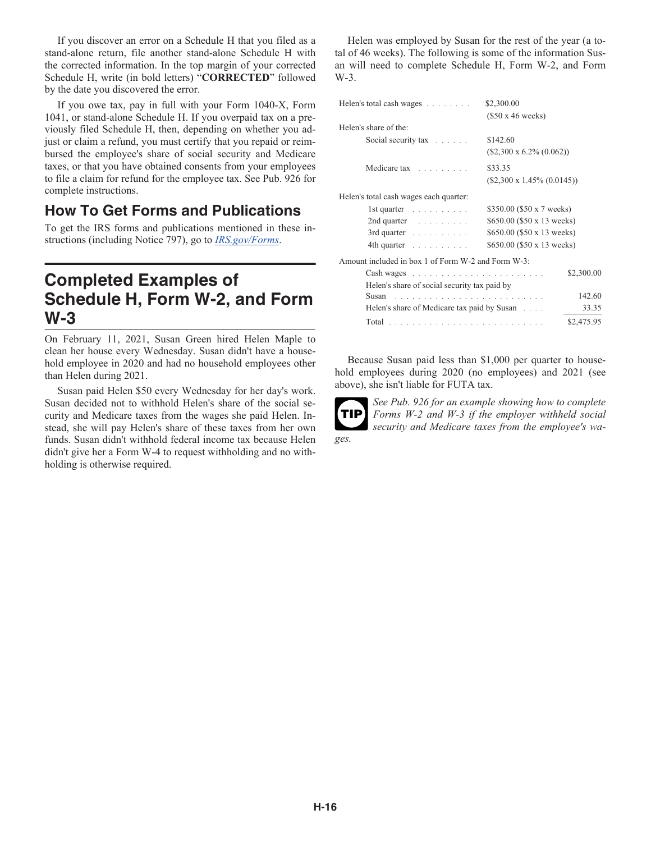If you discover an error on a Schedule H that you filed as a stand-alone return, file another stand-alone Schedule H with the corrected information. In the top margin of your corrected Schedule H, write (in bold letters) "**CORRECTED**" followed by the date you discovered the error.

If you owe tax, pay in full with your Form 1040-X, Form 1041, or stand-alone Schedule H. If you overpaid tax on a previously filed Schedule H, then, depending on whether you adjust or claim a refund, you must certify that you repaid or reimbursed the employee's share of social security and Medicare taxes, or that you have obtained consents from your employees to file a claim for refund for the employee tax. See Pub. 926 for complete instructions.

### **How To Get Forms and Publications**

To get the IRS forms and publications mentioned in these instructions (including Notice 797), go to *[IRS.gov/Forms](https://www.irs.gov/forms)*.

# **Completed Examples of Schedule H, Form W-2, and Form W-3**

On February 11, 2021, Susan Green hired Helen Maple to clean her house every Wednesday. Susan didn't have a household employee in 2020 and had no household employees other than Helen during 2021.

Susan paid Helen \$50 every Wednesday for her day's work. Susan decided not to withhold Helen's share of the social security and Medicare taxes from the wages she paid Helen. Instead, she will pay Helen's share of these taxes from her own funds. Susan didn't withhold federal income tax because Helen didn't give her a Form W-4 to request withholding and no withholding is otherwise required.

Helen was employed by Susan for the rest of the year (a total of 46 weeks). The following is some of the information Susan will need to complete Schedule H, Form W-2, and Form W-3.

| Helen's total cash wages                                                                                                                                                                                                       | \$2,300.00                         |  |  |  |
|--------------------------------------------------------------------------------------------------------------------------------------------------------------------------------------------------------------------------------|------------------------------------|--|--|--|
|                                                                                                                                                                                                                                | $(\$50 \times 46$ weeks)           |  |  |  |
| Helen's share of the:                                                                                                                                                                                                          |                                    |  |  |  |
| Social security tax $\ldots$                                                                                                                                                                                                   | \$142.60                           |  |  |  |
|                                                                                                                                                                                                                                | $(S2,300 \times 6.2\% (0.062))$    |  |  |  |
| Medicare tax                                                                                                                                                                                                                   | \$33.35                            |  |  |  |
|                                                                                                                                                                                                                                | $(\$2,300 \times 1.45\% (0.0145))$ |  |  |  |
| Helen's total cash wages each quarter:                                                                                                                                                                                         |                                    |  |  |  |
| $1st$ quarter $\ldots \ldots \ldots$                                                                                                                                                                                           | \$350.00 (\$50 x 7 weeks)          |  |  |  |
| $2nd$ quarter $\ldots \ldots \ldots$                                                                                                                                                                                           | \$650.00 (\$50 x 13 weeks)         |  |  |  |
| 3rd quarter                                                                                                                                                                                                                    | \$650.00 (\$50 x 13 weeks)         |  |  |  |
| 4th quarter                                                                                                                                                                                                                    | \$650.00 (\$50 x 13 weeks)         |  |  |  |
| Amount included in box 1 of Form W-2 and Form W-3:                                                                                                                                                                             |                                    |  |  |  |
| Cash wages entertainment and the contract of the contract of the contract of the contract of the contract of the contract of the contract of the contract of the contract of the contract of the contract of the contract of t | \$2,300.00                         |  |  |  |
| Helen's share of social security tax paid by                                                                                                                                                                                   |                                    |  |  |  |
| Susan                                                                                                                                                                                                                          | 142.60                             |  |  |  |
| Helen's share of Medicare tax paid by Susan                                                                                                                                                                                    | 33.35                              |  |  |  |
|                                                                                                                                                                                                                                | \$2,475.95                         |  |  |  |

Because Susan paid less than \$1,000 per quarter to household employees during 2020 (no employees) and 2021 (see above), she isn't liable for FUTA tax.



*ges.*

*See Pub. 926 for an example showing how to complete Forms W-2 and W-3 if the employer withheld social security and Medicare taxes from the employee's wa-*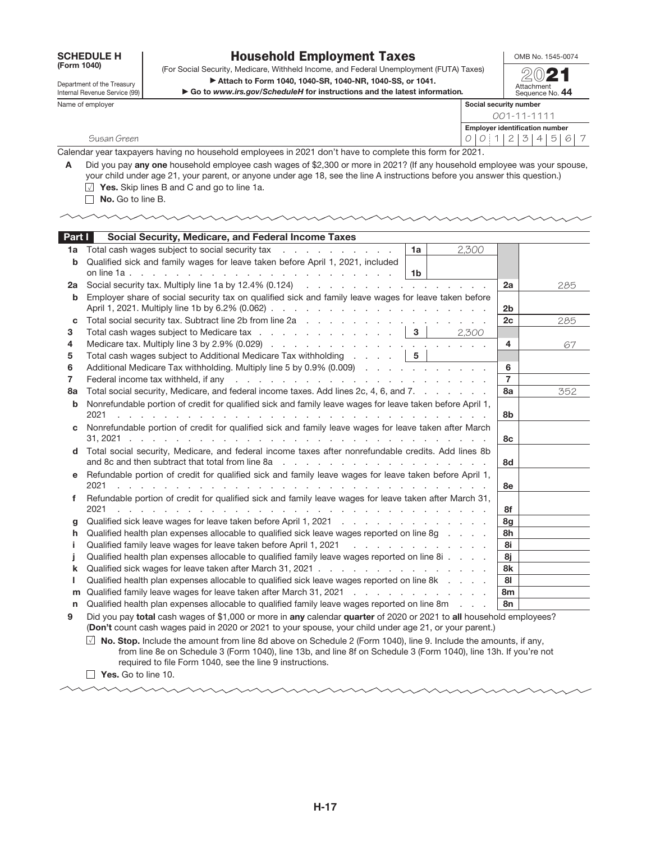SCHEDULE H<br>(Form 1040)

Department of the Treasury Internal Revenue Service (99)

### Household Employment Taxes

OMB No. 1545-0074

(Form 1040) (For Social Security, Medicare, Withheld Income, and Federal Unemployment (FUTA) Taxes) (2021 ▶ Attach to Form 1040, 1040-SR, 1040-NR, 1040-SS, or 1041.

▶ Go to *www.irs.gov/ScheduleH* for instructions and the latest information*.*

| Attachment<br>Sequence No. |  |
|----------------------------|--|

Name of employer

|                        |                                | OCUUCIIUC IVU. TT |  |  |  |  |  |  |  |  |
|------------------------|--------------------------------|-------------------|--|--|--|--|--|--|--|--|
| Social security number |                                |                   |  |  |  |  |  |  |  |  |
| 001-11-1111            |                                |                   |  |  |  |  |  |  |  |  |
|                        | Employer identification number |                   |  |  |  |  |  |  |  |  |
|                        | 0 0 1 2 3 4 5 6                |                   |  |  |  |  |  |  |  |  |
|                        |                                |                   |  |  |  |  |  |  |  |  |

Calendar year taxpayers having no household employees in 2021 don't have to complete this form for 2021.

A Did you pay any one household employee cash wages of \$2,300 or more in 2021? (If any household employee was your spouse, your child under age 21, your parent, or anyone under age 18, see the line A instructions before you answer this question.)  $\overline{\Box}$  Yes. Skip lines B and C and go to line 1a.

No. Go to line B.

Susan Green

| Part I | Social Security, Medicare, and Federal Income Taxes                                                                                                                                                                            |                |     |
|--------|--------------------------------------------------------------------------------------------------------------------------------------------------------------------------------------------------------------------------------|----------------|-----|
| 1a     | Total cash wages subject to social security tax<br>2,300<br>1a                                                                                                                                                                 |                |     |
| b      | Qualified sick and family wages for leave taken before April 1, 2021, included                                                                                                                                                 |                |     |
|        | 1 <sub>b</sub>                                                                                                                                                                                                                 |                |     |
| 2a     |                                                                                                                                                                                                                                | 2a             | 285 |
| b      | Employer share of social security tax on qualified sick and family leave wages for leave taken before                                                                                                                          |                |     |
|        |                                                                                                                                                                                                                                | 2 <sub>b</sub> |     |
| c      |                                                                                                                                                                                                                                | 2c             | 285 |
| 3      | Total cash wages subject to Medicare tax $\ldots$ $\ldots$ $\ldots$ $\ldots$ $\ldots$ $\mid$ 3<br>2,300                                                                                                                        |                |     |
| 4      |                                                                                                                                                                                                                                | 4              | 67  |
| 5      |                                                                                                                                                                                                                                |                |     |
| 6      | Additional Medicare Tax withholding. Multiply line 5 by 0.9% (0.009)                                                                                                                                                           | 6              |     |
| 7      | Federal income tax withheld, if any respectively and respect to the contract of the contract of the contract of the contract of the contract of the contract of the contract of the contract of the contract of the contract o | $\overline{7}$ |     |
| 8a     | Total social security, Medicare, and federal income taxes. Add lines 2c, 4, 6, and 7.                                                                                                                                          | 8a             | 352 |
| b      | Nonrefundable portion of credit for qualified sick and family leave wages for leave taken before April 1,                                                                                                                      |                |     |
|        | 2021<br>de la caractería de la caractería de la caractería de la caractería de la caractería                                                                                                                                   | 8b             |     |
| C.     | Nonrefundable portion of credit for qualified sick and family leave wages for leave taken after March                                                                                                                          |                |     |
|        |                                                                                                                                                                                                                                | 8с             |     |
| d      | Total social security, Medicare, and federal income taxes after nonrefundable credits. Add lines 8b                                                                                                                            |                |     |
|        |                                                                                                                                                                                                                                | 8d             |     |
| e      | Refundable portion of credit for qualified sick and family leave wages for leave taken before April 1,                                                                                                                         |                |     |
|        | 2021<br>the contract of the contract of the contract of the contract of the contract of the contract of                                                                                                                        | 8e             |     |
| f      | Refundable portion of credit for qualified sick and family leave wages for leave taken after March 31,                                                                                                                         |                |     |
|        | 2021<br>the contract of the contract of the contract of the contract of the contract of the contract of                                                                                                                        | 8f             |     |
| g      | Qualified sick leave wages for leave taken before April 1, 2021                                                                                                                                                                | 8g             |     |
| h.     | Qualified health plan expenses allocable to qualified sick leave wages reported on line 8g                                                                                                                                     | 8h             |     |
|        | Qualified family leave wages for leave taken before April 1, 2021                                                                                                                                                              | 8i             |     |
|        | Qualified health plan expenses allocable to qualified family leave wages reported on line 8i                                                                                                                                   | 8i             |     |
| k      |                                                                                                                                                                                                                                | 8k             |     |
|        | Qualified health plan expenses allocable to qualified sick leave wages reported on line 8k                                                                                                                                     | 81             |     |
| m      | Qualified family leave wages for leave taken after March 31, 2021                                                                                                                                                              | 8m             |     |
| n      | Qualified health plan expenses allocable to qualified family leave wages reported on line 8m                                                                                                                                   | 8n             |     |
|        |                                                                                                                                                                                                                                |                |     |

9 Did you pay total cash wages of \$1,000 or more in any calendar quarter of 2020 or 2021 to all household employees? (Don't count cash wages paid in 2020 or 2021 to your spouse, your child under age 21, or your parent.)

 $\Box$  No. Stop. Include the amount from line 8d above on Schedule 2 (Form 1040), line 9. Include the amounts, if any, from line 8e on Schedule 3 (Form 1040), line 13b, and line 8f on Schedule 3 (Form 1040), line 13h. If you're not required to file Form 1040, see the line 9 instructions.

 $\Box$  Yes. Go to line 10.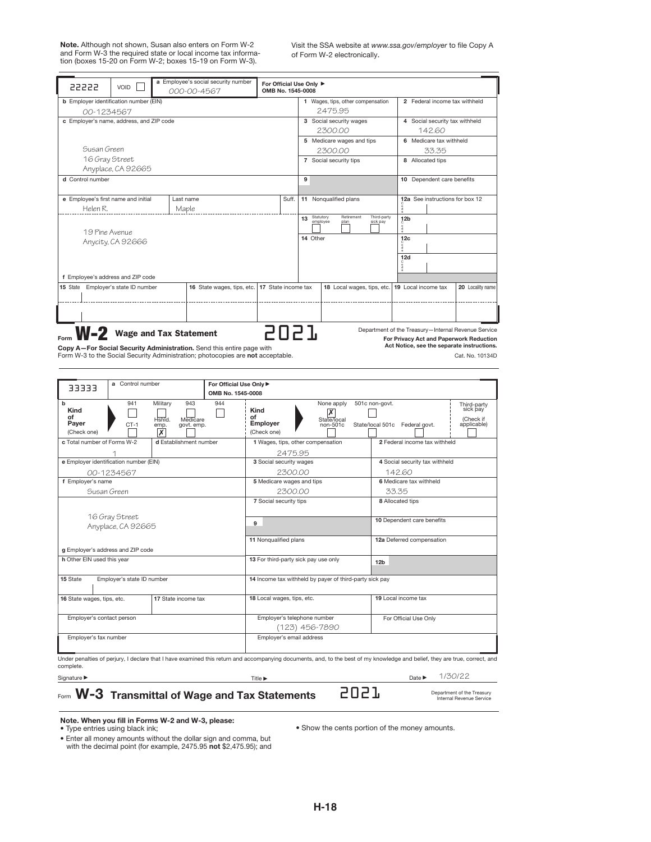Note. Although not shown, Susan also enters on Form W-2 and Form W-3 the required state or local income tax informa-tion (boxes 15-20 on Form W-2; boxes 15-19 on Form W-3). Visit the SSA website at www.ssa.gov/employer to file Copy A of Form W-2 electronically.

| 22222                                                                                                                                                                                                                                                        | VOID                       |  | a Employee's social security number<br>000-00-4567 |  | For Official Use Only ▶<br>OMB No. 1545-0008 |                                                                                          |   |                                   |                                    |     |                                 |                  |
|--------------------------------------------------------------------------------------------------------------------------------------------------------------------------------------------------------------------------------------------------------------|----------------------------|--|----------------------------------------------------|--|----------------------------------------------|------------------------------------------------------------------------------------------|---|-----------------------------------|------------------------------------|-----|---------------------------------|------------------|
| <b>b</b> Employer identification number (EIN)                                                                                                                                                                                                                |                            |  |                                                    |  |                                              |                                                                                          |   | 1 Wages, tips, other compensation |                                    |     | 2 Federal income tax withheld   |                  |
| 00-1234567                                                                                                                                                                                                                                                   |                            |  |                                                    |  |                                              |                                                                                          |   | 2475.95                           |                                    |     |                                 |                  |
| c Employer's name, address, and ZIP code                                                                                                                                                                                                                     |                            |  |                                                    |  |                                              |                                                                                          |   | 3 Social security wages           |                                    |     | 4 Social security tax withheld  |                  |
|                                                                                                                                                                                                                                                              |                            |  |                                                    |  |                                              |                                                                                          |   | 2300.00                           |                                    |     | 142.60                          |                  |
|                                                                                                                                                                                                                                                              |                            |  |                                                    |  |                                              |                                                                                          |   | 5 Medicare wages and tips         |                                    |     | 6 Medicare tax withheld         |                  |
| Susan Green                                                                                                                                                                                                                                                  |                            |  |                                                    |  |                                              |                                                                                          |   | 2300.00                           |                                    |     | 33.35                           |                  |
| 16 Gray Street                                                                                                                                                                                                                                               |                            |  |                                                    |  |                                              |                                                                                          |   | 7 Social security tips            |                                    |     | 8 Allocated tips                |                  |
|                                                                                                                                                                                                                                                              | Anyplace, CA 92665         |  |                                                    |  |                                              |                                                                                          |   |                                   |                                    |     |                                 |                  |
| d Control number                                                                                                                                                                                                                                             |                            |  |                                                    |  |                                              |                                                                                          | 9 |                                   |                                    |     | 10 Dependent care benefits      |                  |
| e Employee's first name and initial                                                                                                                                                                                                                          |                            |  | Last name                                          |  |                                              | Suff.                                                                                    |   | 11 Nonqualified plans             |                                    |     | 12a See instructions for box 12 |                  |
| Helen R.                                                                                                                                                                                                                                                     |                            |  | Maple                                              |  |                                              |                                                                                          |   |                                   |                                    | å   |                                 |                  |
| 19 Pine Avenue<br>Anycity, CA 92666                                                                                                                                                                                                                          |                            |  |                                                    |  |                                              | Statutory<br>employee<br>Retirement<br>Third-party<br>13<br>plan<br>sick pay<br>14 Other |   |                                   | 12 <sub>b</sub><br>12 <sub>c</sub> |     |                                 |                  |
| f Employee's address and ZIP code                                                                                                                                                                                                                            |                            |  |                                                    |  |                                              |                                                                                          |   |                                   |                                    | 12d |                                 |                  |
| 15 State                                                                                                                                                                                                                                                     | Employer's state ID number |  | 16 State wages, tips, etc.                         |  | 17 State income tax                          |                                                                                          |   |                                   | 18 Local wages, tips, etc.         |     | 19 Local income tax             | 20 Locality name |
|                                                                                                                                                                                                                                                              |                            |  |                                                    |  |                                              |                                                                                          |   |                                   |                                    |     |                                 |                  |
|                                                                                                                                                                                                                                                              |                            |  |                                                    |  |                                              |                                                                                          |   |                                   |                                    |     |                                 |                  |
| 5057<br>Department of the Treasury-Internal Revenue Service<br><b>Wage and Tax Statement</b><br>For Privacy Act and Paperwork Reduction<br>Act Notice, see the separate instructions.<br>any A Lar Bagial Bequrity Administration Cand this entire nego with |                            |  |                                                    |  |                                              |                                                                                          |   |                                   |                                    |     |                                 |                  |

Copy A—For Social Security Administration. Send this entire page with Form W-3 to the Social Security Administration; photocopies are not acceptable.

Cat. No. 10134D

| 33333                                                                     | a Control number |                                                                  | For Official Use Only ▶<br>OMB No. 1545-0008            |                                                                                                                                                                             |                                              |                                                  |                                                                             |                                                     |  |
|---------------------------------------------------------------------------|------------------|------------------------------------------------------------------|---------------------------------------------------------|-----------------------------------------------------------------------------------------------------------------------------------------------------------------------------|----------------------------------------------|--------------------------------------------------|-----------------------------------------------------------------------------|-----------------------------------------------------|--|
|                                                                           |                  |                                                                  |                                                         |                                                                                                                                                                             |                                              |                                                  |                                                                             |                                                     |  |
| b<br>Kind<br>Ωf<br>Payer<br>(Check one)                                   | 941<br>$CT-1$    | Military<br>943<br>Hshid.<br>Medicare<br>govt. emp.<br>emp.<br>X | 944                                                     | Kind<br>of<br>Employer<br>(Check one)                                                                                                                                       | None apply<br>x<br>State/local<br>$non-501c$ | 501c non-govt.<br>State/local 501c Federal govt. |                                                                             | Third-party<br>sick pay<br>(Check if<br>applicable) |  |
| c Total number of Forms W-2                                               |                  | d Establishment number                                           |                                                         | 1 Wages, tips, other compensation<br>2 Federal income tax withheld                                                                                                          |                                              |                                                  |                                                                             |                                                     |  |
|                                                                           |                  |                                                                  |                                                         | 2475.95                                                                                                                                                                     |                                              |                                                  |                                                                             |                                                     |  |
| e Employer identification number (EIN)                                    |                  |                                                                  |                                                         | 3 Social security wages                                                                                                                                                     |                                              |                                                  | 4 Social security tax withheld                                              |                                                     |  |
| 00-1234567                                                                |                  |                                                                  |                                                         | 2300.00                                                                                                                                                                     |                                              |                                                  | 142.60                                                                      |                                                     |  |
| f Employer's name                                                         |                  |                                                                  |                                                         | 5 Medicare wages and tips                                                                                                                                                   |                                              |                                                  | 6 Medicare tax withheld                                                     |                                                     |  |
| Susan Green                                                               |                  |                                                                  |                                                         | 2300.00                                                                                                                                                                     |                                              | 33.35                                            |                                                                             |                                                     |  |
| 16 Gray Street<br>Anyplace, CA 92665<br>g Employer's address and ZIP code |                  |                                                                  |                                                         | 7 Social security tips<br>9<br>11 Nonqualified plans                                                                                                                        |                                              |                                                  | 8 Allocated tips<br>10 Dependent care benefits<br>12a Deferred compensation |                                                     |  |
| h Other EIN used this year                                                |                  |                                                                  |                                                         | 13 For third-party sick pay use only<br>12 <sub>b</sub>                                                                                                                     |                                              |                                                  |                                                                             |                                                     |  |
| 15 State<br>Employer's state ID number                                    |                  |                                                                  | 14 Income tax withheld by payer of third-party sick pay |                                                                                                                                                                             |                                              |                                                  |                                                                             |                                                     |  |
| 16 State wages, tips, etc.<br>17 State income tax                         |                  |                                                                  | 18 Local wages, tips, etc.                              |                                                                                                                                                                             |                                              | 19 Local income tax                              |                                                                             |                                                     |  |
| Employer's contact person                                                 |                  |                                                                  |                                                         | Employer's telephone number<br>(123) 456-7890                                                                                                                               |                                              |                                                  | For Official Use Only                                                       |                                                     |  |
| Employer's fax number                                                     |                  |                                                                  |                                                         | Employer's email address                                                                                                                                                    |                                              |                                                  |                                                                             |                                                     |  |
| complete                                                                  |                  |                                                                  |                                                         | Under penalties of perjury, I declare that I have examined this return and accompanying documents, and, to the best of my knowledge and belief, they are true, correct, and |                                              |                                                  |                                                                             |                                                     |  |

Signature ▶ Date ▶ Date ▶ Date ▶ Date ▶ Date ▶ Date ▶ Date ▶ Date ▶ Date ▶ Date ▶ Date ▶ Date ▶ Date ▶ Date ▶ Date ▶ Date ▶ Date ▶ Date ▶ Date ▶ Date ▶ Date ▶ Date ▶ Date ▶ Date ▶ Date ▶ Date ▶ Date ▶ Date ▶ Date ▶ Date ▶

 $\overline{\phantom{a}}$ 

Form  $W$ -3 Transmittal of Wage and Tax Statements  $2021$ 

1/30/22

Department of the Treasury<br>Internal Revenue Service

Note. When you fill in Forms W-2 and W-3, please:

*•* Show the cents portion of the money amounts.

*•* Type entries using black ink; *•* Enter all money amounts without the dollar sign and comma, but with the decimal point (for example, 2475.95 not \$2,475.95); and